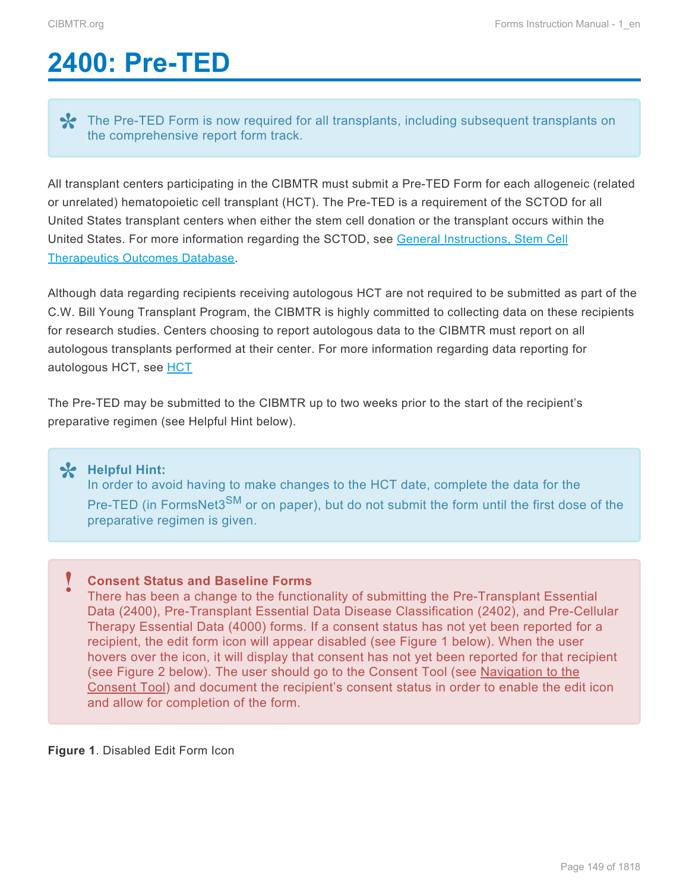# <span id="page-0-0"></span>**2400: Pre-TED**

The Pre-TED Form is now required for all transplants, including subsequent transplants on the comprehensive report form track.

All transplant centers participating in the CIBMTR must submit a Pre-TED Form for each allogeneic (related or unrelated) hematopoietic cell transplant (HCT). The Pre-TED is a requirement of the SCTOD for all United States transplant centers when either the stem cell donation or the transplant occurs within the United States. For more information regarding the SCTOD, see [General Instructions, Stem Cell](http://www.cibmtr.org/DataManagement/TrainingReference/Manuals/DataManagement/Documents/section2.pdf) [Therapeutics Outcomes Database.](http://www.cibmtr.org/DataManagement/TrainingReference/Manuals/DataManagement/Documents/section2.pdf)

Although data regarding recipients receiving autologous HCT are not required to be submitted as part of the C.W. Bill Young Transplant Program, the CIBMTR is highly committed to collecting data on these recipients for research studies. Centers choosing to report autologous data to the CIBMTR must report on all autologous transplants performed at their center. For more information regarding data reporting for autologous [HCT](http://www.manula.com/manuals/cibmtr/training-and-reference/1/en/topic/hct), see HCT

The Pre-TED may be submitted to the CIBMTR up to two weeks prior to the start of the recipient's preparative regimen (see Helpful Hint below).

**Helpful Hint: \*** In order to avoid having to make changes to the HCT date, complete the data for the Pre-TED (in FormsNet3<sup>SM</sup> or on paper), but do not submit the form until the first dose of the preparative regimen is given.

#### **Consent Status and Baseline Forms !**

There has been a change to the functionality of submitting the Pre-Transplant Essential Data (2400), Pre-Transplant Essential Data Disease Classification (2402), and Pre-Cellular Therapy Essential Data (4000) forms. If a consent status has not yet been reported for a recipient, the edit form icon will appear disabled (see Figure 1 below). When the user hovers over the icon, it will display that consent has not yet been reported for that recipient (see Figure 2 below). The user should go to the Consent Tool (see [Navigation to the](https://www.manula.com/manuals/cibmtr/training-and-reference/1/en/topic/navigation-to-the-consent-tool) [Consent Tool](https://www.manula.com/manuals/cibmtr/training-and-reference/1/en/topic/navigation-to-the-consent-tool)) and document the recipient's consent status in order to enable the edit icon and allow for completion of the form.

**Figure 1**. Disabled Edit Form Icon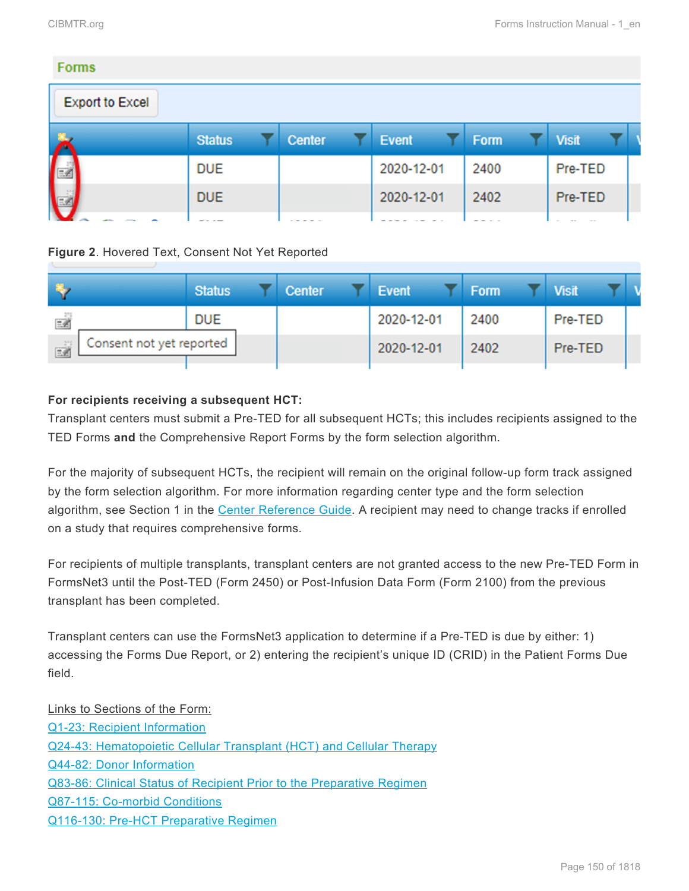Pre-TED

| <b>Forms</b>           |               |        |            |      |              |  |
|------------------------|---------------|--------|------------|------|--------------|--|
| <b>Export to Excel</b> |               |        |            |      |              |  |
|                        | <b>Status</b> | Center | Event      | Form | <b>Visit</b> |  |
|                        | <b>DUE</b>    |        | 2020-12-01 | 2400 | Pre-TED      |  |

2020-12-01

2402

## **Figure 2**. Hovered Text, Consent Not Yet Reported

**DUE** 

|                                | <b>Status</b> | <b>Center</b> | <b>Event</b> | Form | <b>Visit</b> |  |
|--------------------------------|---------------|---------------|--------------|------|--------------|--|
| 三名                             | <b>DUE</b>    |               | 2020-12-01   | 2400 | Pre-TED      |  |
| Consent not yet reported<br>三名 |               |               | 2020-12-01   | 2402 | Pre-TED      |  |

## **For recipients receiving a subsequent HCT:**

Transplant centers must submit a Pre-TED for all subsequent HCTs; this includes recipients assigned to the TED Forms **and** the Comprehensive Report Forms by the form selection algorithm.

For the majority of subsequent HCTs, the recipient will remain on the original follow-up form track assigned by the form selection algorithm. For more information regarding center type and the form selection algorithm, see Section 1 in the [Center Reference Guide.](http://www.cibmtr.org/DataManagement/TrainingReference/Documents/CtrRefGuide.pdf) A recipient may need to change tracks if enrolled on a study that requires comprehensive forms.

For recipients of multiple transplants, transplant centers are not granted access to the new Pre-TED Form in FormsNet3 until the Post-TED (Form 2450) or Post-Infusion Data Form (Form 2100) from the previous transplant has been completed.

Transplant centers can use the FormsNet3 application to determine if a Pre-TED is due by either: 1) accessing the Forms Due Report, or 2) entering the recipient's unique ID (CRID) in the Patient Forms Due field.

Links to Sections of the Form: [Q1-23: Recipient Information](#page-4-0) [Q24-43: Hematopoietic Cellular Transplant \(HCT\) and Cellular Therapy](#page-8-0) [Q44-82: Donor Information](#page-14-0) [Q83-86: Clinical Status of Recipient Prior to the Preparative Regimen](#page-26-0) [Q87-115: Co-morbid Conditions](#page-29-0) Q116-130: Pre-HCT [Preparative Regimen](#page-38-0)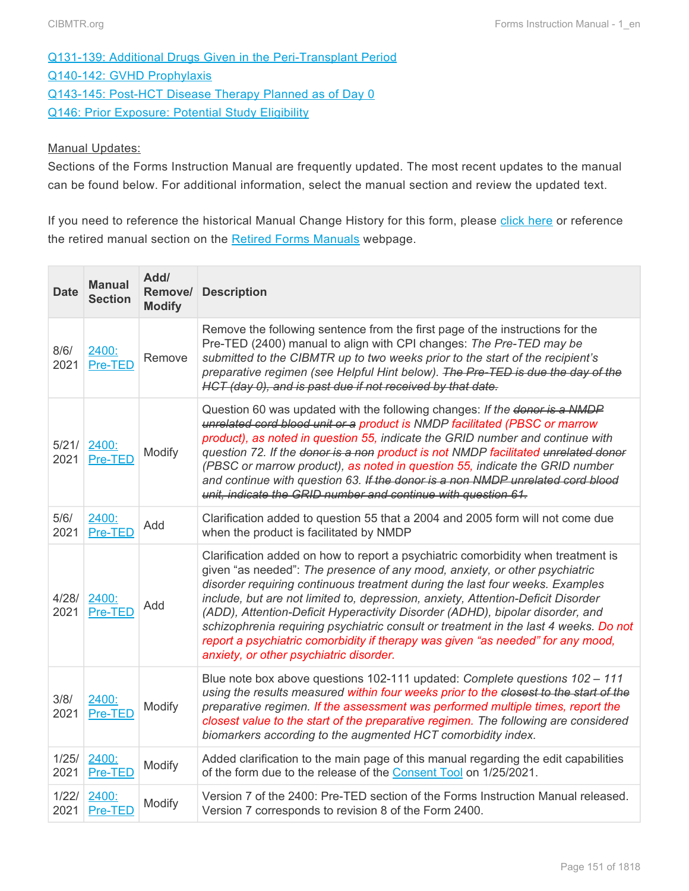[Q131-139: Additional Drugs Given in the Peri-Transplant Period](#page-46-0) Q140-142: GVHD [Prophylaxis](#page-47-0) Q143-145: Post-HCT [Disease Therapy Planned as of Day 0](#page-49-0) [Q146: Prior Exposure: Potential Study Eligibility](#page-50-0)

#### **Manual Updates:**

Sections of the Forms Instruction Manual are frequently updated. The most recent updates to the manual can be found below. For additional information, select the manual section and review the updated text.

If you need to reference the historical Manual Change History for this form, please [click here](http://www.cibmtr.org/DataManagement/TrainingReference/Manuals/Retired%20Forms%20Manuals/Documents/2400.Pre-TED%20Data%20Manual%20Change%20History%20through%203.31.15.pdf) or reference the retired manual section on the [Retired Forms Manuals](http://www.cibmtr.org/DataManagement/TrainingReference/Manuals/Retired%20Forms%20Manuals/pages/index.aspx) webpage.

| <b>Date</b>   | <b>Manual</b><br><b>Section</b> | Add/<br>Remove/<br><b>Modify</b> | <b>Description</b>                                                                                                                                                                                                                                                                                                                                                                                                                                                                                                                                                                                                                        |
|---------------|---------------------------------|----------------------------------|-------------------------------------------------------------------------------------------------------------------------------------------------------------------------------------------------------------------------------------------------------------------------------------------------------------------------------------------------------------------------------------------------------------------------------------------------------------------------------------------------------------------------------------------------------------------------------------------------------------------------------------------|
| 8/6/<br>2021  | 2400:<br>Pre-TED                | Remove                           | Remove the following sentence from the first page of the instructions for the<br>Pre-TED (2400) manual to align with CPI changes: The Pre-TED may be<br>submitted to the CIBMTR up to two weeks prior to the start of the recipient's<br>preparative regimen (see Helpful Hint below). The Pre-TED is due the day of the<br>HCT (day 0), and is past due if not received by that date.                                                                                                                                                                                                                                                    |
| 5/21/<br>2021 | 2400:<br>Pre-TED                | Modify                           | Question 60 was updated with the following changes: If the donor is a NMDP<br>unrelated cord blood unit or a product is NMDP facilitated (PBSC or marrow<br>product), as noted in question 55, indicate the GRID number and continue with<br>question 72. If the donor is a non product is not NMDP facilitated unrelated donor<br>(PBSC or marrow product), as noted in question 55, indicate the GRID number<br>and continue with question 63. If the donor is a non NMDP unrelated cord blood<br>unit, indicate the GRID number and continue with question 61.                                                                         |
| 5/6/<br>2021  | 2400:<br>Pre-TED                | Add                              | Clarification added to question 55 that a 2004 and 2005 form will not come due<br>when the product is facilitated by NMDP                                                                                                                                                                                                                                                                                                                                                                                                                                                                                                                 |
| 4/28/<br>2021 | 2400:<br><b>Pre-TED</b>         | Add                              | Clarification added on how to report a psychiatric comorbidity when treatment is<br>given "as needed": The presence of any mood, anxiety, or other psychiatric<br>disorder requiring continuous treatment during the last four weeks. Examples<br>include, but are not limited to, depression, anxiety, Attention-Deficit Disorder<br>(ADD), Attention-Deficit Hyperactivity Disorder (ADHD), bipolar disorder, and<br>schizophrenia requiring psychiatric consult or treatment in the last 4 weeks. Do not<br>report a psychiatric comorbidity if therapy was given "as needed" for any mood,<br>anxiety, or other psychiatric disorder. |
| 3/8/<br>2021  | 2400:<br>Pre-TED                | Modify                           | Blue note box above questions 102-111 updated: Complete questions $102 - 111$<br>using the results measured within four weeks prior to the closest to the start of the<br>preparative regimen. If the assessment was performed multiple times, report the<br>closest value to the start of the preparative regimen. The following are considered<br>biomarkers according to the augmented HCT comorbidity index.                                                                                                                                                                                                                          |
| 1/25/<br>2021 | 2400:<br>Pre-TED                | Modify                           | Added clarification to the main page of this manual regarding the edit capabilities<br>of the form due to the release of the Consent Tool on 1/25/2021.                                                                                                                                                                                                                                                                                                                                                                                                                                                                                   |
| 1/22/<br>2021 | 2400:<br>Pre-TED                | Modify                           | Version 7 of the 2400: Pre-TED section of the Forms Instruction Manual released.<br>Version 7 corresponds to revision 8 of the Form 2400.                                                                                                                                                                                                                                                                                                                                                                                                                                                                                                 |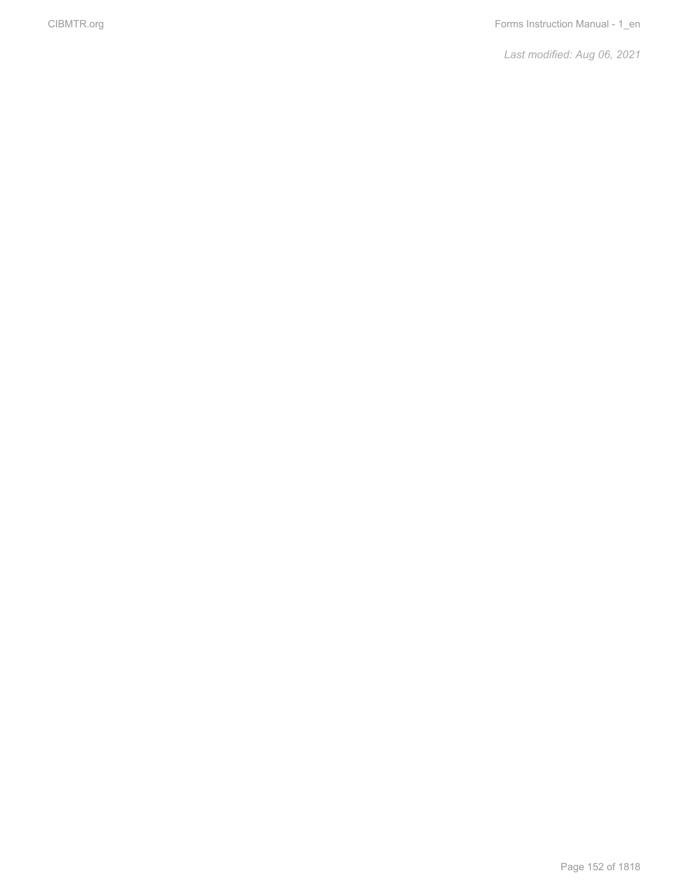*Last modified: Aug 06, 2021*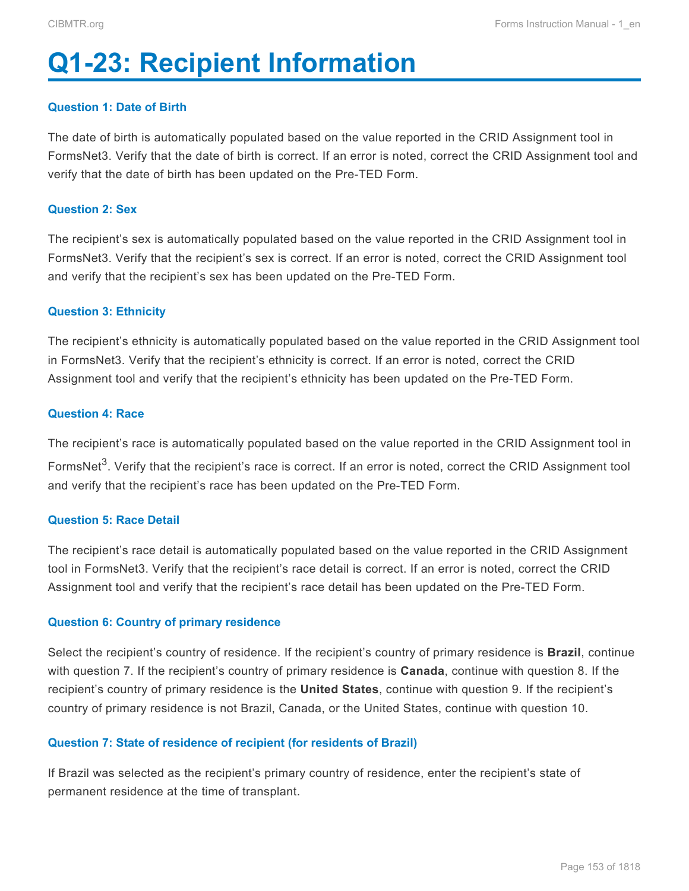# <span id="page-4-0"></span>**Q1-23: Recipient Information**

#### **Question 1: Date of Birth**

The date of birth is automatically populated based on the value reported in the CRID Assignment tool in FormsNet3. Verify that the date of birth is correct. If an error is noted, correct the CRID Assignment tool and verify that the date of birth has been updated on the Pre-TED Form.

#### **Question 2: Sex**

The recipient's sex is automatically populated based on the value reported in the CRID Assignment tool in FormsNet3. Verify that the recipient's sex is correct. If an error is noted, correct the CRID Assignment tool and verify that the recipient's sex has been updated on the Pre-TED Form.

#### **Question 3: Ethnicity**

The recipient's ethnicity is automatically populated based on the value reported in the CRID Assignment tool in FormsNet3. Verify that the recipient's ethnicity is correct. If an error is noted, correct the CRID Assignment tool and verify that the recipient's ethnicity has been updated on the Pre-TED Form.

#### **Question 4: Race**

The recipient's race is automatically populated based on the value reported in the CRID Assignment tool in FormsNet<sup>3</sup>. Verify that the recipient's race is correct. If an error is noted, correct the CRID Assignment tool and verify that the recipient's race has been updated on the Pre-TED Form.

#### **Question 5: Race Detail**

The recipient's race detail is automatically populated based on the value reported in the CRID Assignment tool in FormsNet3. Verify that the recipient's race detail is correct. If an error is noted, correct the CRID Assignment tool and verify that the recipient's race detail has been updated on the Pre-TED Form.

#### **Question 6: Country of primary residence**

Select the recipient's country of residence. If the recipient's country of primary residence is **Brazil**, continue with question 7. If the recipient's country of primary residence is **Canada**, continue with question 8. If the recipient's country of primary residence is the **United States**, continue with question 9. If the recipient's country of primary residence is not Brazil, Canada, or the United States, continue with question 10.

#### **Question 7: State of residence of recipient (for residents of Brazil)**

If Brazil was selected as the recipient's primary country of residence, enter the recipient's state of permanent residence at the time of transplant.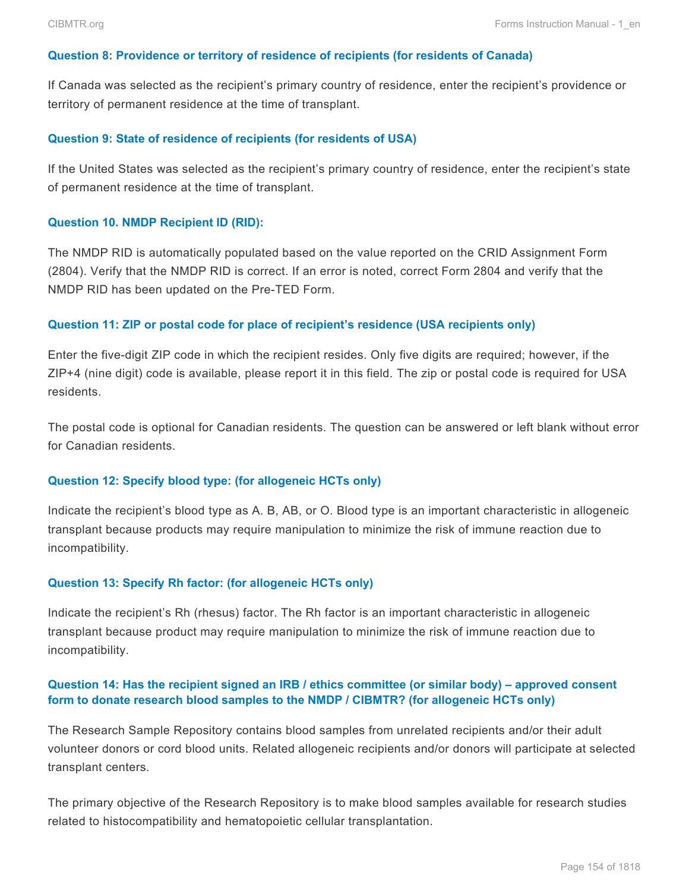#### **Question 8: Providence or territory of residence of recipients (for residents of Canada)**

If Canada was selected as the recipient's primary country of residence, enter the recipient's providence or territory of permanent residence at the time of transplant.

#### **Question 9: State of residence of recipients (for residents of USA)**

If the United States was selected as the recipient's primary country of residence, enter the recipient's state of permanent residence at the time of transplant.

#### **Question 10. NMDP Recipient ID (RID):**

The NMDP RID is automatically populated based on the value reported on the CRID Assignment Form (2804). Verify that the NMDP RID is correct. If an error is noted, correct Form 2804 and verify that the NMDP RID has been updated on the Pre-TED Form.

#### **Question 11: ZIP or postal code for place of recipient's residence (USA recipients only)**

Enter the five-digit ZIP code in which the recipient resides. Only five digits are required; however, if the ZIP+4 (nine digit) code is available, please report it in this field. The zip or postal code is required for USA residents.

The postal code is optional for Canadian residents. The question can be answered or left blank without error for Canadian residents.

#### **Question 12: Specify blood type: (for allogeneic HCTs only)**

Indicate the recipient's blood type as A. B, AB, or O. Blood type is an important characteristic in allogeneic transplant because products may require manipulation to minimize the risk of immune reaction due to incompatibility.

#### **Question 13: Specify Rh factor: (for allogeneic HCTs only)**

Indicate the recipient's Rh (rhesus) factor. The Rh factor is an important characteristic in allogeneic transplant because product may require manipulation to minimize the risk of immune reaction due to incompatibility.

#### **Question 14: Has the recipient signed an IRB / ethics committee (or similar body) – approved consent form to donate research blood samples to the NMDP / CIBMTR? (for allogeneic HCTs only)**

The Research Sample Repository contains blood samples from unrelated recipients and/or their adult volunteer donors or cord blood units. Related allogeneic recipients and/or donors will participate at selected transplant centers.

The primary objective of the Research Repository is to make blood samples available for research studies related to histocompatibility and hematopoietic cellular transplantation.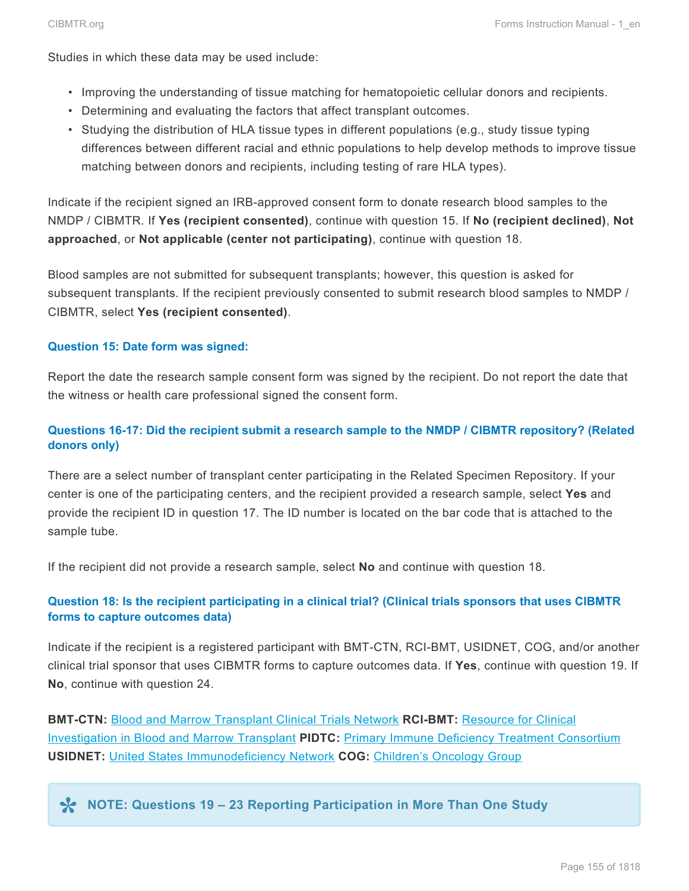Studies in which these data may be used include:

- Improving the understanding of tissue matching for hematopoietic cellular donors and recipients.
- Determining and evaluating the factors that affect transplant outcomes.
- Studying the distribution of HLA tissue types in different populations (e.g., study tissue typing differences between different racial and ethnic populations to help develop methods to improve tissue matching between donors and recipients, including testing of rare HLA types).

Indicate if the recipient signed an IRB-approved consent form to donate research blood samples to the NMDP / CIBMTR. If **Yes (recipient consented)**, continue with question 15. If **No (recipient declined)**, **Not approached**, or **Not applicable (center not participating)**, continue with question 18.

Blood samples are not submitted for subsequent transplants; however, this question is asked for subsequent transplants. If the recipient previously consented to submit research blood samples to NMDP / CIBMTR, select **Yes (recipient consented)**.

#### **Question 15: Date form was signed:**

Report the date the research sample consent form was signed by the recipient. Do not report the date that the witness or health care professional signed the consent form.

## **Questions 16-17: Did the recipient submit a research sample to the NMDP / CIBMTR repository? (Related donors only)**

There are a select number of transplant center participating in the Related Specimen Repository. If your center is one of the participating centers, and the recipient provided a research sample, select **Yes** and provide the recipient ID in question 17. The ID number is located on the bar code that is attached to the sample tube.

If the recipient did not provide a research sample, select **No** and continue with question 18.

### **Question 18: Is the recipient participating in a clinical trial? (Clinical trials sponsors that uses CIBMTR forms to capture outcomes data)**

Indicate if the recipient is a registered participant with BMT-CTN, RCI-BMT, USIDNET, COG, and/or another clinical trial sponsor that uses CIBMTR forms to capture outcomes data. If **Yes**, continue with question 19. If **No**, continue with question 24.

**BMT-CTN:** [Blood and Marrow Transplant Clinical Trials Network](http://web.emmes.com/study/bmt2/) **RCI-BMT:** [Resource for Clinical](http://www.cibmtr.org/Studies/ClinicalTrials/RCI_BMT/Pages/index.aspx) [Investigation in Blood and Marrow Transplant](http://www.cibmtr.org/Studies/ClinicalTrials/RCI_BMT/Pages/index.aspx) **PIDTC:** [Primary Immune Deficiency Treatment Consortium](http://www.rarediseasesnetwork.org/cms/pidtc/) **USIDNET:** [United States Immunodeficiency Network](http://www.usidnet.org/) **COG:** [Children's Oncology Group](http://www.childrensoncologygroup.org/)

**NOTE: Questions 19 – 23 Reporting Participation in More Than One Study \***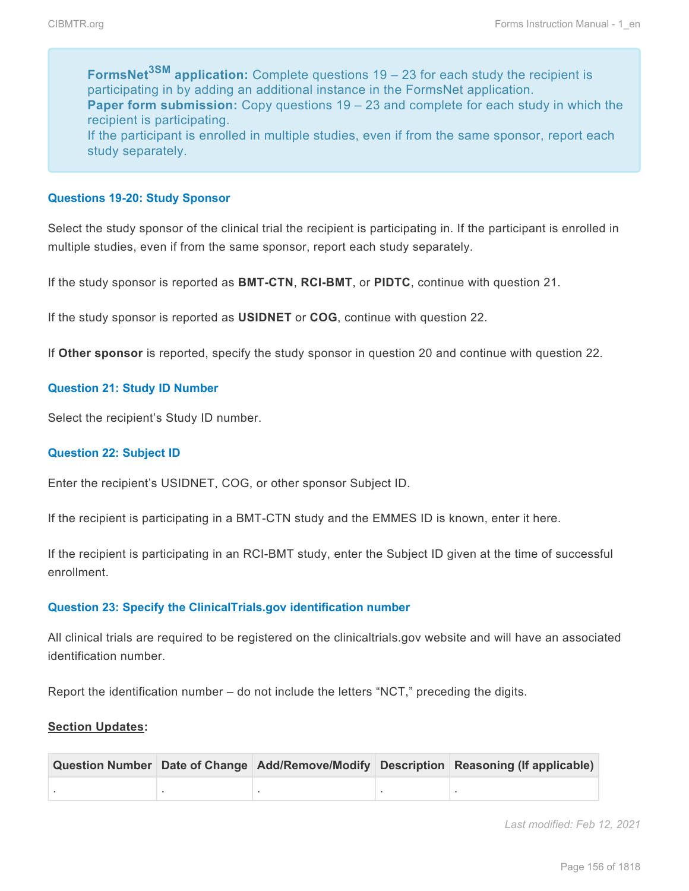**FormsNet3SM application:** Complete questions 19 – 23 for each study the recipient is participating in by adding an additional instance in the FormsNet application. **Paper form submission:** Copy questions 19 – 23 and complete for each study in which the recipient is participating. If the participant is enrolled in multiple studies, even if from the same sponsor, report each study separately.

#### **Questions 19-20: Study Sponsor**

Select the study sponsor of the clinical trial the recipient is participating in. If the participant is enrolled in multiple studies, even if from the same sponsor, report each study separately.

If the study sponsor is reported as **BMT-CTN**, **RCI-BMT**, or **PIDTC**, continue with question 21.

If the study sponsor is reported as **USIDNET** or **COG**, continue with question 22.

If **Other sponsor** is reported, specify the study sponsor in question 20 and continue with question 22.

#### **Question 21: Study ID Number**

Select the recipient's Study ID number.

#### **Question 22: Subject ID**

Enter the recipient's USIDNET, COG, or other sponsor Subject ID.

If the recipient is participating in a BMT-CTN study and the EMMES ID is known, enter it here.

If the recipient is participating in an RCI-BMT study, enter the Subject ID given at the time of successful enrollment.

#### **Question 23: Specify the ClinicalTrials.gov identification number**

All clinical trials are required to be registered on the clinicaltrials.gov website and will have an associated identification number.

Report the identification number – do not include the letters "NCT," preceding the digits.

#### **Section Updates:**

|  |  | Question Number Date of Change Add/Remove/Modify Description Reasoning (If applicable) |
|--|--|----------------------------------------------------------------------------------------|
|  |  |                                                                                        |

*Last modified: Feb 12, 2021*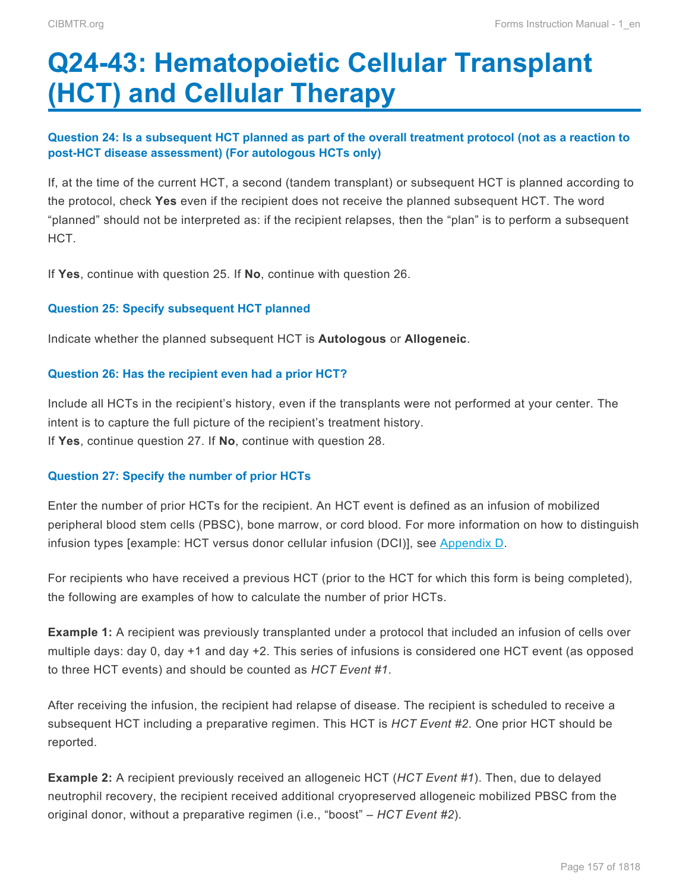# <span id="page-8-0"></span>**Q24-43: Hematopoietic Cellular Transplant (HCT) and Cellular Therapy**

## **Question 24: Is a subsequent HCT planned as part of the overall treatment protocol (not as a reaction to post-HCT disease assessment) (For autologous HCTs only)**

If, at the time of the current HCT, a second (tandem transplant) or subsequent HCT is planned according to the protocol, check **Yes** even if the recipient does not receive the planned subsequent HCT. The word "planned" should not be interpreted as: if the recipient relapses, then the "plan" is to perform a subsequent HCT.

If **Yes**, continue with question 25. If **No**, continue with question 26.

### **Question 25: Specify subsequent HCT planned**

Indicate whether the planned subsequent HCT is **Autologous** or **Allogeneic**.

#### **Question 26: Has the recipient even had a prior HCT?**

Include all HCTs in the recipient's history, even if the transplants were not performed at your center. The intent is to capture the full picture of the recipient's treatment history. If **Yes**, continue question 27. If **No**, continue with question 28.

### **Question 27: Specify the number of prior HCTs**

Enter the number of prior HCTs for the recipient. An HCT event is defined as an infusion of mobilized peripheral blood stem cells (PBSC), bone marrow, or cord blood. For more information on how to distinguish infusion types [example: HCT versus donor cellular infusion (DCI)], see Appendix D.

For recipients who have received a previous HCT (prior to the HCT for which this form is being completed), the following are examples of how to calculate the number of prior HCTs.

**Example 1:** A recipient was previously transplanted under a protocol that included an infusion of cells over multiple days: day 0, day +1 and day +2. This series of infusions is considered one HCT event (as opposed to three HCT events) and should be counted as *HCT Event #1*.

After receiving the infusion, the recipient had relapse of disease. The recipient is scheduled to receive a subsequent HCT including a preparative regimen. This HCT is *HCT Event #2*. One prior HCT should be reported.

**Example 2:** A recipient previously received an allogeneic HCT (*HCT Event #1*). Then, due to delayed neutrophil recovery, the recipient received additional cryopreserved allogeneic mobilized PBSC from the original donor, without a preparative regimen (i.e., "boost" – *HCT Event #2*).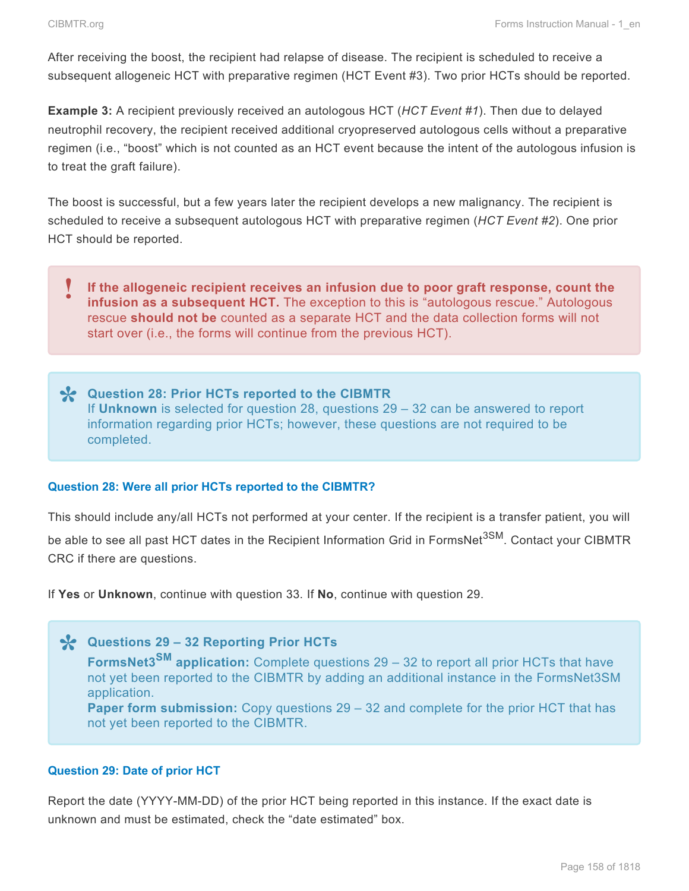After receiving the boost, the recipient had relapse of disease. The recipient is scheduled to receive a subsequent allogeneic HCT with preparative regimen (HCT Event #3). Two prior HCTs should be reported.

**Example 3:** A recipient previously received an autologous HCT (*HCT Event #1*). Then due to delayed neutrophil recovery, the recipient received additional cryopreserved autologous cells without a preparative regimen (i.e., "boost" which is not counted as an HCT event because the intent of the autologous infusion is to treat the graft failure).

The boost is successful, but a few years later the recipient develops a new malignancy. The recipient is scheduled to receive a subsequent autologous HCT with preparative regimen (*HCT Event #2*). One prior HCT should be reported.



**Question 28: Prior HCTs reported to the CIBMTR \*** If **Unknown** is selected for question 28, questions 29 – 32 can be answered to report information regarding prior HCTs; however, these questions are not required to be completed.

### **Question 28: Were all prior HCTs reported to the CIBMTR?**

This should include any/all HCTs not performed at your center. If the recipient is a transfer patient, you will be able to see all past HCT dates in the Recipient Information Grid in FormsNet<sup>3SM</sup>. Contact your CIBMTR CRC if there are questions.

If **Yes** or **Unknown**, continue with question 33. If **No**, continue with question 29.

**Questions 29 – 32 Reporting Prior HCTs \* FormsNet3SM application:** Complete questions 29 – 32 to report all prior HCTs that have not yet been reported to the CIBMTR by adding an additional instance in the FormsNet3SM application.

**Paper form submission:** Copy questions 29 – 32 and complete for the prior HCT that has not yet been reported to the CIBMTR.

### **Question 29: Date of prior HCT**

Report the date (YYYY-MM-DD) of the prior HCT being reported in this instance. If the exact date is unknown and must be estimated, check the "date estimated" box.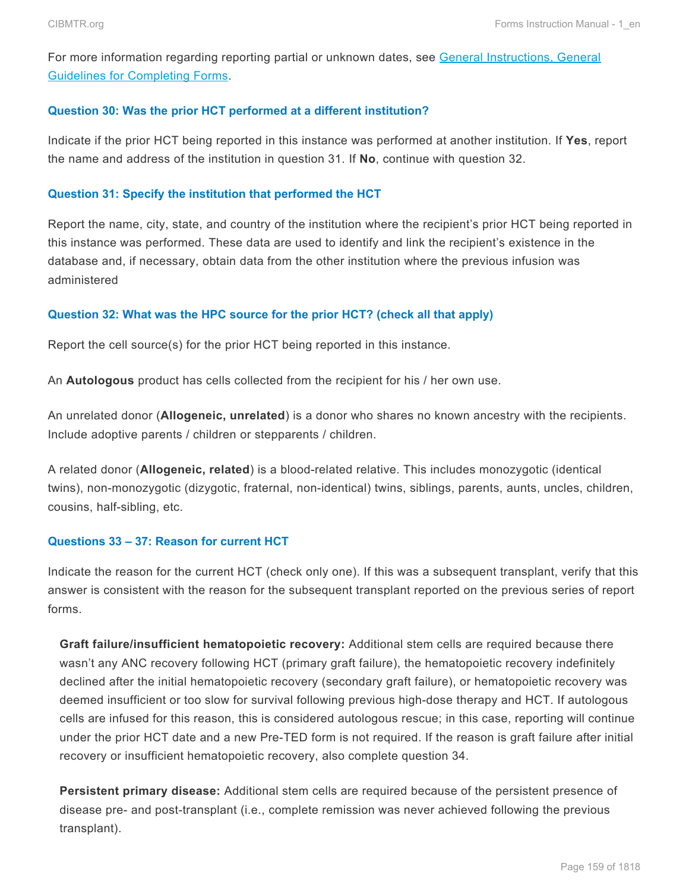For more information regarding reporting partial or unknown dates, see General Instructions, General Guidelines for Completing Forms.

#### **Question 30: Was the prior HCT performed at a different institution?**

Indicate if the prior HCT being reported in this instance was performed at another institution. If **Yes**, report the name and address of the institution in question 31. If **No**, continue with question 32.

#### **Question 31: Specify the institution that performed the HCT**

Report the name, city, state, and country of the institution where the recipient's prior HCT being reported in this instance was performed. These data are used to identify and link the recipient's existence in the database and, if necessary, obtain data from the other institution where the previous infusion was administered

#### **Question 32: What was the HPC source for the prior HCT? (check all that apply)**

Report the cell source(s) for the prior HCT being reported in this instance.

An **Autologous** product has cells collected from the recipient for his / her own use.

An unrelated donor (**Allogeneic, unrelated**) is a donor who shares no known ancestry with the recipients. Include adoptive parents / children or stepparents / children.

A related donor (**Allogeneic, related**) is a blood-related relative. This includes monozygotic (identical twins), non-monozygotic (dizygotic, fraternal, non-identical) twins, siblings, parents, aunts, uncles, children, cousins, half-sibling, etc.

### **Questions 33 – 37: Reason for current HCT**

Indicate the reason for the current HCT (check only one). If this was a subsequent transplant, verify that this answer is consistent with the reason for the subsequent transplant reported on the previous series of report forms.

**Graft failure/insufficient hematopoietic recovery:** Additional stem cells are required because there wasn't any ANC recovery following HCT (primary graft failure), the hematopoietic recovery indefinitely declined after the initial hematopoietic recovery (secondary graft failure), or hematopoietic recovery was deemed insufficient or too slow for survival following previous high-dose therapy and HCT. If autologous cells are infused for this reason, this is considered autologous rescue; in this case, reporting will continue under the prior HCT date and a new Pre-TED form is not required. If the reason is graft failure after initial recovery or insufficient hematopoietic recovery, also complete question 34.

**Persistent primary disease:** Additional stem cells are required because of the persistent presence of disease pre- and post-transplant (i.e., complete remission was never achieved following the previous transplant).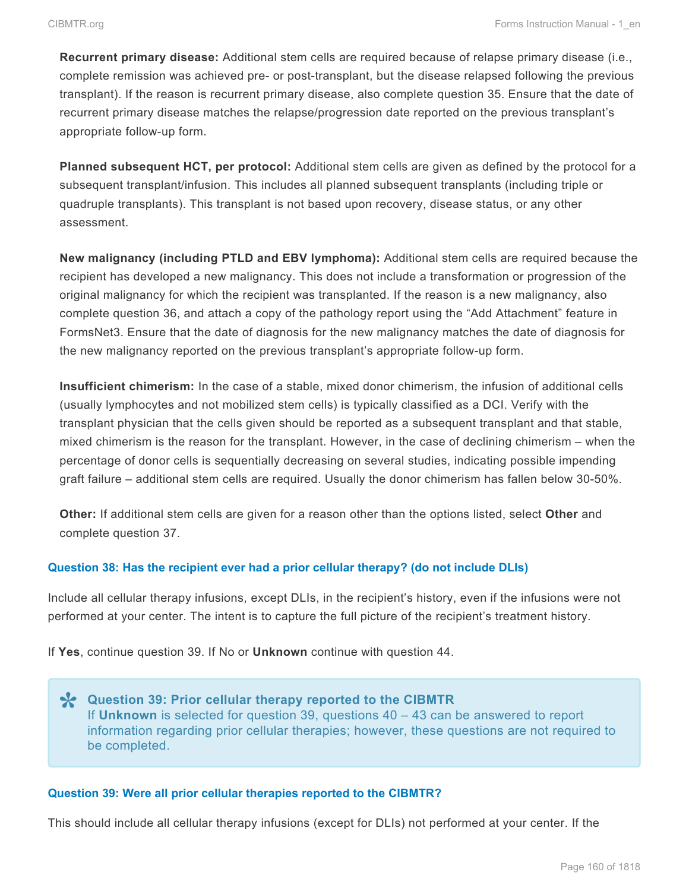**Recurrent primary disease:** Additional stem cells are required because of relapse primary disease (i.e., complete remission was achieved pre- or post-transplant, but the disease relapsed following the previous transplant). If the reason is recurrent primary disease, also complete question 35. Ensure that the date of recurrent primary disease matches the relapse/progression date reported on the previous transplant's appropriate follow-up form.

**Planned subsequent HCT, per protocol:** Additional stem cells are given as defined by the protocol for a subsequent transplant/infusion. This includes all planned subsequent transplants (including triple or quadruple transplants). This transplant is not based upon recovery, disease status, or any other assessment.

**New malignancy (including PTLD and EBV lymphoma):** Additional stem cells are required because the recipient has developed a new malignancy. This does not include a transformation or progression of the original malignancy for which the recipient was transplanted. If the reason is a new malignancy, also complete question 36, and attach a copy of the pathology report using the "Add Attachment" feature in FormsNet3. Ensure that the date of diagnosis for the new malignancy matches the date of diagnosis for the new malignancy reported on the previous transplant's appropriate follow-up form.

**Insufficient chimerism:** In the case of a stable, mixed donor chimerism, the infusion of additional cells (usually lymphocytes and not mobilized stem cells) is typically classified as a DCI. Verify with the transplant physician that the cells given should be reported as a subsequent transplant and that stable, mixed chimerism is the reason for the transplant. However, in the case of declining chimerism – when the percentage of donor cells is sequentially decreasing on several studies, indicating possible impending graft failure – additional stem cells are required. Usually the donor chimerism has fallen below 30-50%.

**Other:** If additional stem cells are given for a reason other than the options listed, select **Other** and complete question 37.

#### **Question 38: Has the recipient ever had a prior cellular therapy? (do not include DLIs)**

Include all cellular therapy infusions, except DLIs, in the recipient's history, even if the infusions were not performed at your center. The intent is to capture the full picture of the recipient's treatment history.

If **Yes**, continue question 39. If No or **Unknown** continue with question 44.

**Question 39: Prior cellular therapy reported to the CIBMTR \*** If **Unknown** is selected for question 39, questions 40 – 43 can be answered to report information regarding prior cellular therapies; however, these questions are not required to be completed.

#### **Question 39: Were all prior cellular therapies reported to the CIBMTR?**

This should include all cellular therapy infusions (except for DLIs) not performed at your center. If the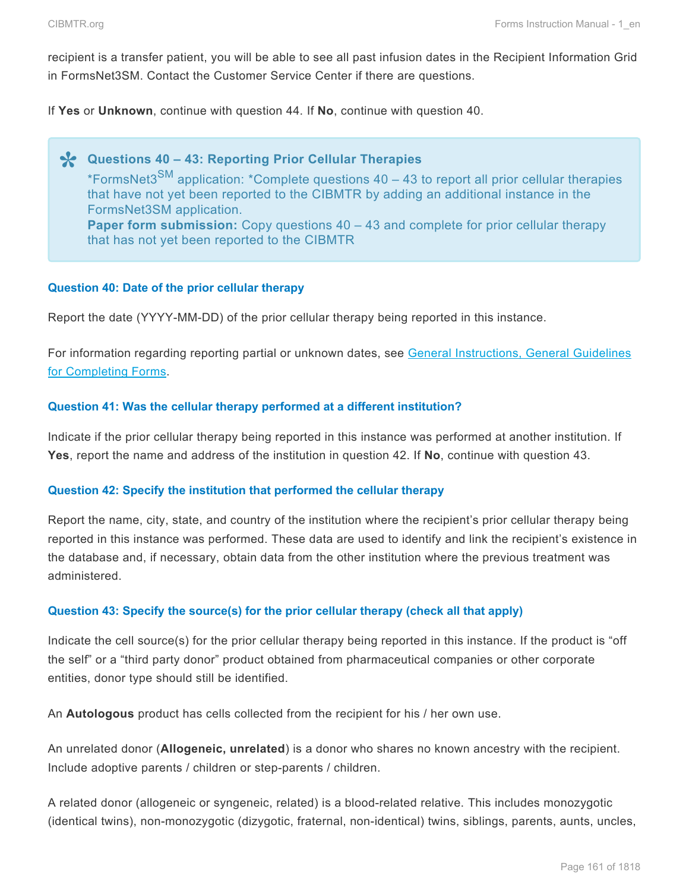recipient is a transfer patient, you will be able to see all past infusion dates in the Recipient Information Grid in FormsNet3SM. Contact the Customer Service Center if there are questions.

If **Yes** or **Unknown**, continue with question 44. If **No**, continue with question 40.

**X** Questions 40 – 43: Reporting Prior Cellular Therapies<br>
\*FormsNet3<sup>SM</sup> application: \*Complete questions 40 – 43 \*FormsNet3<sup>SM</sup> application: \*Complete questions 40 – 43 to report all prior cellular therapies that have not yet been reported to the CIBMTR by adding an additional instance in the FormsNet3SM application. **Paper form submission:** Copy questions 40 – 43 and complete for prior cellular therapy that has not yet been reported to the CIBMTR

#### **Question 40: Date of the prior cellular therapy**

Report the date (YYYY-MM-DD) of the prior cellular therapy being reported in this instance.

For information regarding reporting partial or unknown dates, see General Instructions, General Guidelines for Completing Forms.

#### **Question 41: Was the cellular therapy performed at a different institution?**

Indicate if the prior cellular therapy being reported in this instance was performed at another institution. If **Yes**, report the name and address of the institution in question 42. If **No**, continue with question 43.

#### **Question 42: Specify the institution that performed the cellular therapy**

Report the name, city, state, and country of the institution where the recipient's prior cellular therapy being reported in this instance was performed. These data are used to identify and link the recipient's existence in the database and, if necessary, obtain data from the other institution where the previous treatment was administered.

#### **Question 43: Specify the source(s) for the prior cellular therapy (check all that apply)**

Indicate the cell source(s) for the prior cellular therapy being reported in this instance. If the product is "off the self" or a "third party donor" product obtained from pharmaceutical companies or other corporate entities, donor type should still be identified.

An **Autologous** product has cells collected from the recipient for his / her own use.

An unrelated donor (**Allogeneic, unrelated**) is a donor who shares no known ancestry with the recipient. Include adoptive parents / children or step-parents / children.

A related donor (allogeneic or syngeneic, related) is a blood-related relative. This includes monozygotic (identical twins), non-monozygotic (dizygotic, fraternal, non-identical) twins, siblings, parents, aunts, uncles,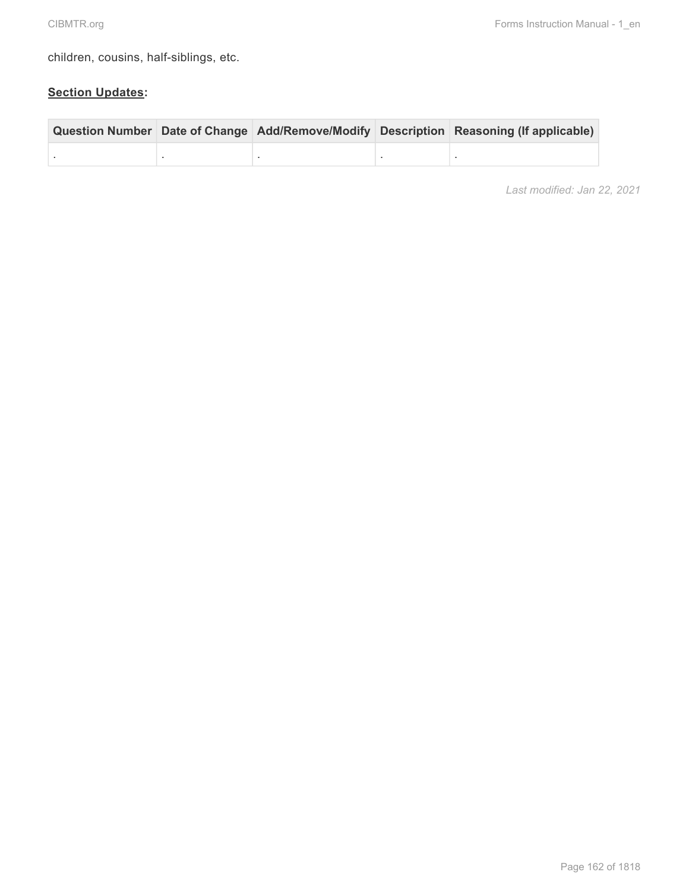children, cousins, half-siblings, etc.

## **Section Updates:**

|  |  | Question Number Date of Change Add/Remove/Modify Description Reasoning (If applicable) |
|--|--|----------------------------------------------------------------------------------------|
|  |  |                                                                                        |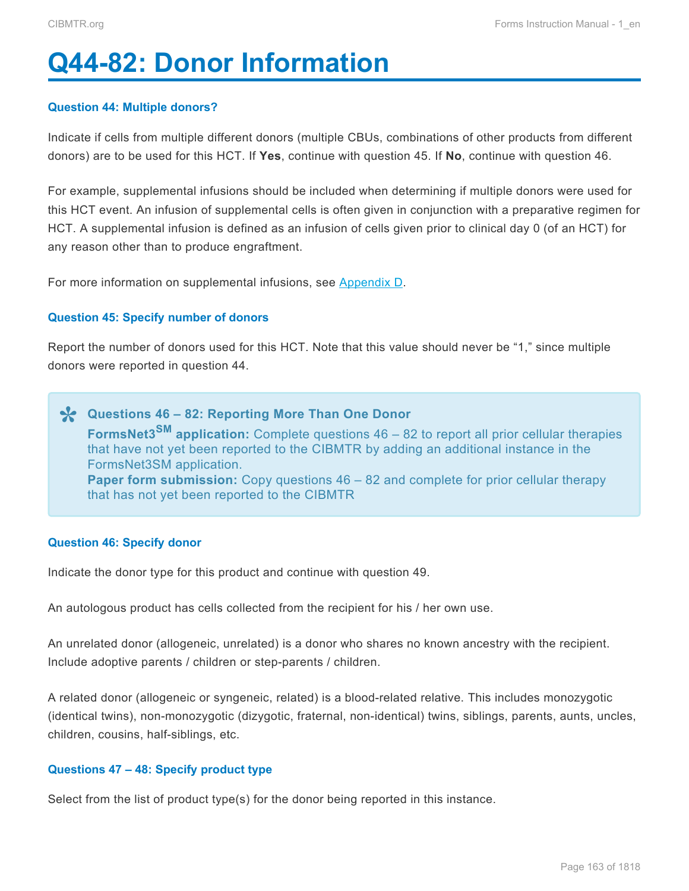# <span id="page-14-0"></span>**Q44-82: Donor Information**

#### **Question 44: Multiple donors?**

Indicate if cells from multiple different donors (multiple CBUs, combinations of other products from different donors) are to be used for this HCT. If **Yes**, continue with question 45. If **No**, continue with question 46.

For example, supplemental infusions should be included when determining if multiple donors were used for this HCT event. An infusion of supplemental cells is often given in conjunction with a preparative regimen for HCT. A supplemental infusion is defined as an infusion of cells given prior to clinical day 0 (of an HCT) for any reason other than to produce engraftment.

For more information on supplemental infusions, see Appendix D.

#### **Question 45: Specify number of donors**

Report the number of donors used for this HCT. Note that this value should never be "1," since multiple donors were reported in question 44.

**\*** Questions 46 – 82: Reporting More Than One Donor<br> **FormsNet3<sup>SM</sup>** application: Complete questions 46 – 8 **FormsNet3SM application:** Complete questions 46 – 82 to report all prior cellular therapies that have not yet been reported to the CIBMTR by adding an additional instance in the FormsNet3SM application. **Paper form submission:** Copy questions 46 – 82 and complete for prior cellular therapy that has not yet been reported to the CIBMTR

#### **Question 46: Specify donor**

Indicate the donor type for this product and continue with question 49.

An autologous product has cells collected from the recipient for his / her own use.

An unrelated donor (allogeneic, unrelated) is a donor who shares no known ancestry with the recipient. Include adoptive parents / children or step-parents / children.

A related donor (allogeneic or syngeneic, related) is a blood-related relative. This includes monozygotic (identical twins), non-monozygotic (dizygotic, fraternal, non-identical) twins, siblings, parents, aunts, uncles, children, cousins, half-siblings, etc.

#### **Questions 47 – 48: Specify product type**

Select from the list of product type(s) for the donor being reported in this instance.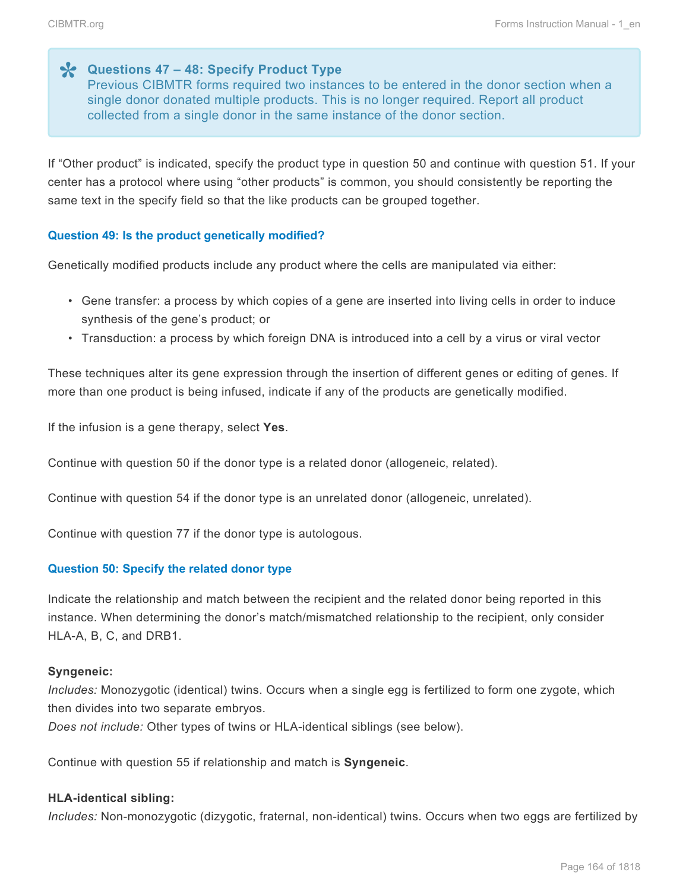**X** Questions 47 – 48: Specify Product Type<br>Previous CIBMTR forms required two instance Previous CIBMTR forms required two instances to be entered in the donor section when a single donor donated multiple products. This is no longer required. Report all product collected from a single donor in the same instance of the donor section.

If "Other product" is indicated, specify the product type in question 50 and continue with question 51. If your center has a protocol where using "other products" is common, you should consistently be reporting the same text in the specify field so that the like products can be grouped together.

#### **Question 49: Is the product genetically modified?**

Genetically modified products include any product where the cells are manipulated via either:

- Gene transfer: a process by which copies of a gene are inserted into living cells in order to induce synthesis of the gene's product; or
- Transduction: a process by which foreign DNA is introduced into a cell by a virus or viral vector

These techniques alter its gene expression through the insertion of different genes or editing of genes. If more than one product is being infused, indicate if any of the products are genetically modified.

If the infusion is a gene therapy, select **Yes**.

Continue with question 50 if the donor type is a related donor (allogeneic, related).

Continue with question 54 if the donor type is an unrelated donor (allogeneic, unrelated).

Continue with question 77 if the donor type is autologous.

#### **Question 50: Specify the related donor type**

Indicate the relationship and match between the recipient and the related donor being reported in this instance. When determining the donor's match/mismatched relationship to the recipient, only consider HLA-A, B, C, and DRB1.

#### **Syngeneic:**

*Includes:* Monozygotic (identical) twins. Occurs when a single egg is fertilized to form one zygote, which then divides into two separate embryos.

*Does not include:* Other types of twins or HLA-identical siblings (see below).

Continue with question 55 if relationship and match is **Syngeneic**.

#### **HLA-identical sibling:**

*Includes:* Non-monozygotic (dizygotic, fraternal, non-identical) twins. Occurs when two eggs are fertilized by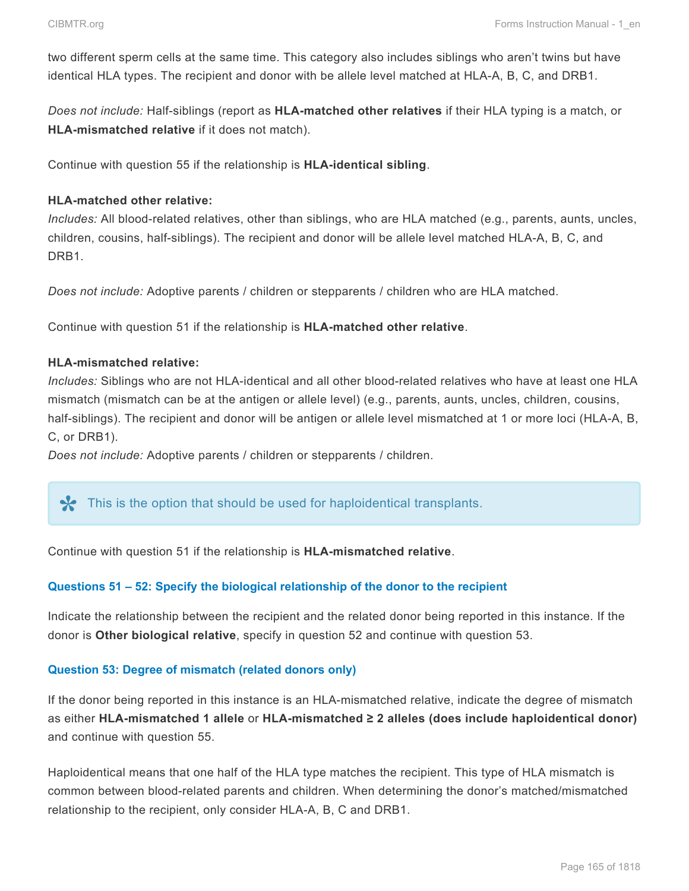two different sperm cells at the same time. This category also includes siblings who aren't twins but have identical HLA types. The recipient and donor with be allele level matched at HLA-A, B, C, and DRB1.

*Does not include:* Half-siblings (report as **HLA-matched other relatives** if their HLA typing is a match, or **HLA-mismatched relative** if it does not match).

Continue with question 55 if the relationship is **HLA-identical sibling**.

### **HLA-matched other relative:**

*Includes:* All blood-related relatives, other than siblings, who are HLA matched (e.g., parents, aunts, uncles, children, cousins, half-siblings). The recipient and donor will be allele level matched HLA-A, B, C, and DRB1.

*Does not include:* Adoptive parents / children or stepparents / children who are HLA matched.

Continue with question 51 if the relationship is **HLA-matched other relative**.

#### **HLA-mismatched relative:**

*Includes:* Siblings who are not HLA-identical and all other blood-related relatives who have at least one HLA mismatch (mismatch can be at the antigen or allele level) (e.g., parents, aunts, uncles, children, cousins, half-siblings). The recipient and donor will be antigen or allele level mismatched at 1 or more loci (HLA-A, B, C, or DRB1).

*Does not include:* Adoptive parents / children or stepparents / children.

## This is the option that should be used for haploidentical transplants.

Continue with question 51 if the relationship is **HLA-mismatched relative**.

#### **Questions 51 – 52: Specify the biological relationship of the donor to the recipient**

Indicate the relationship between the recipient and the related donor being reported in this instance. If the donor is **Other biological relative**, specify in question 52 and continue with question 53.

#### **Question 53: Degree of mismatch (related donors only)**

If the donor being reported in this instance is an HLA-mismatched relative, indicate the degree of mismatch as either **HLA-mismatched 1 allele** or **HLA-mismatched ≥ 2 alleles (does include haploidentical donor)** and continue with question 55.

Haploidentical means that one half of the HLA type matches the recipient. This type of HLA mismatch is common between blood-related parents and children. When determining the donor's matched/mismatched relationship to the recipient, only consider HLA-A, B, C and DRB1.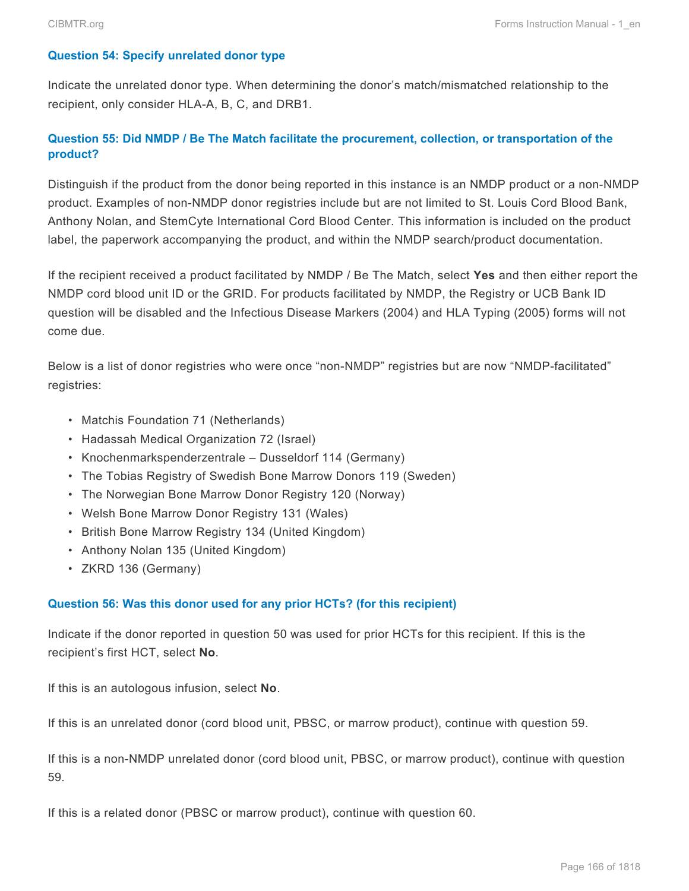#### **Question 54: Specify unrelated donor type**

Indicate the unrelated donor type. When determining the donor's match/mismatched relationship to the recipient, only consider HLA-A, B, C, and DRB1.

## **Question 55: Did NMDP / Be The Match facilitate the procurement, collection, or transportation of the product?**

Distinguish if the product from the donor being reported in this instance is an NMDP product or a non-NMDP product. Examples of non-NMDP donor registries include but are not limited to St. Louis Cord Blood Bank, Anthony Nolan, and StemCyte International Cord Blood Center. This information is included on the product label, the paperwork accompanying the product, and within the NMDP search/product documentation.

If the recipient received a product facilitated by NMDP / Be The Match, select **Yes** and then either report the NMDP cord blood unit ID or the GRID. For products facilitated by NMDP, the Registry or UCB Bank ID question will be disabled and the Infectious Disease Markers (2004) and HLA Typing (2005) forms will not come due.

Below is a list of donor registries who were once "non-NMDP" registries but are now "NMDP-facilitated" registries:

- Matchis Foundation 71 (Netherlands)
- Hadassah Medical Organization 72 (Israel)
- Knochenmarkspenderzentrale Dusseldorf 114 (Germany)
- The Tobias Registry of Swedish Bone Marrow Donors 119 (Sweden)
- The Norwegian Bone Marrow Donor Registry 120 (Norway)
- Welsh Bone Marrow Donor Registry 131 (Wales)
- British Bone Marrow Registry 134 (United Kingdom)
- Anthony Nolan 135 (United Kingdom)
- ZKRD 136 (Germany)

#### **Question 56: Was this donor used for any prior HCTs? (for this recipient)**

Indicate if the donor reported in question 50 was used for prior HCTs for this recipient. If this is the recipient's first HCT, select **No**.

If this is an autologous infusion, select **No**.

If this is an unrelated donor (cord blood unit, PBSC, or marrow product), continue with question 59.

If this is a non-NMDP unrelated donor (cord blood unit, PBSC, or marrow product), continue with question 59.

If this is a related donor (PBSC or marrow product), continue with question 60.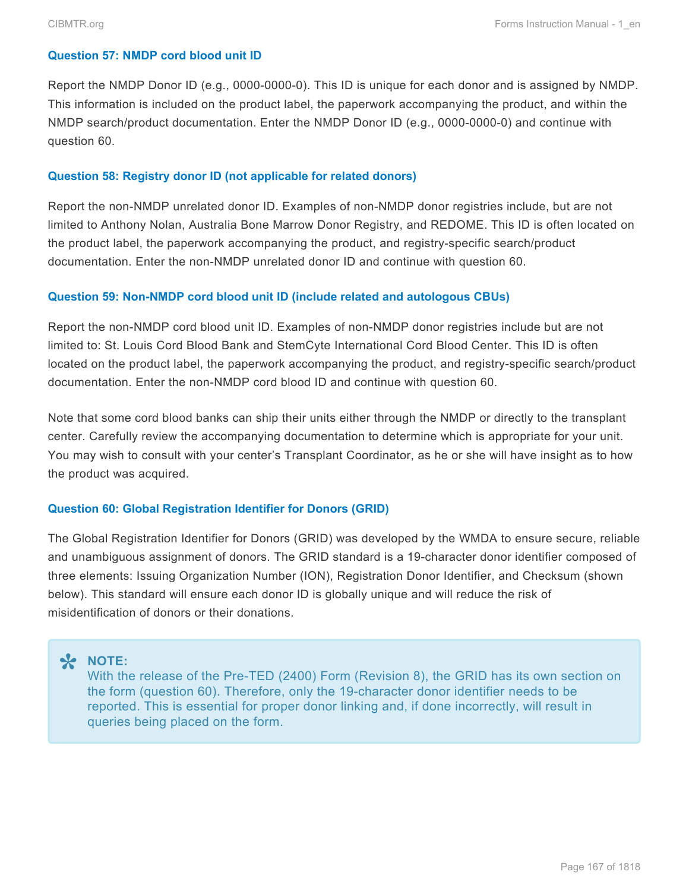#### **Question 57: NMDP cord blood unit ID**

Report the NMDP Donor ID (e.g., 0000-0000-0). This ID is unique for each donor and is assigned by NMDP. This information is included on the product label, the paperwork accompanying the product, and within the NMDP search/product documentation. Enter the NMDP Donor ID (e.g., 0000-0000-0) and continue with question 60.

#### **Question 58: Registry donor ID (not applicable for related donors)**

Report the non-NMDP unrelated donor ID. Examples of non-NMDP donor registries include, but are not limited to Anthony Nolan, Australia Bone Marrow Donor Registry, and REDOME. This ID is often located on the product label, the paperwork accompanying the product, and registry-specific search/product documentation. Enter the non-NMDP unrelated donor ID and continue with question 60.

#### **Question 59: Non-NMDP cord blood unit ID (include related and autologous CBUs)**

Report the non-NMDP cord blood unit ID. Examples of non-NMDP donor registries include but are not limited to: St. Louis Cord Blood Bank and StemCyte International Cord Blood Center. This ID is often located on the product label, the paperwork accompanying the product, and registry-specific search/product documentation. Enter the non-NMDP cord blood ID and continue with question 60.

Note that some cord blood banks can ship their units either through the NMDP or directly to the transplant center. Carefully review the accompanying documentation to determine which is appropriate for your unit. You may wish to consult with your center's Transplant Coordinator, as he or she will have insight as to how the product was acquired.

#### **Question 60: Global Registration Identifier for Donors (GRID)**

The Global Registration Identifier for Donors (GRID) was developed by the WMDA to ensure secure, reliable and unambiguous assignment of donors. The GRID standard is a 19-character donor identifier composed of three elements: Issuing Organization Number (ION), Registration Donor Identifier, and Checksum (shown below). This standard will ensure each donor ID is globally unique and will reduce the risk of misidentification of donors or their donations.

# **\* NOTE:**<br>With the form

With the release of the Pre-TED (2400) Form (Revision 8), the GRID has its own section on the form (question 60). Therefore, only the 19-character donor identifier needs to be reported. This is essential for proper donor linking and, if done incorrectly, will result in queries being placed on the form.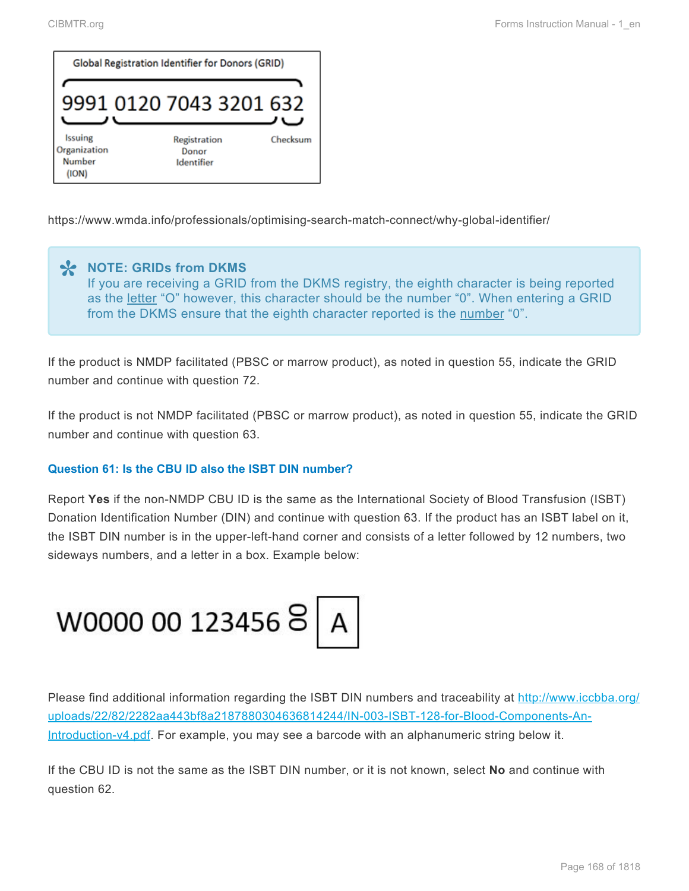

https://www.wmda.info/professionals/optimising-search-match-connect/why-global-identifier/

## **X** NOTE: GRIDs from DKMS<br>
If you are receiving a GRID<br> **co** the latter "O" bourger the If you are receiving a GRID from the DKMS registry, the eighth character is being reported as the letter "O" however, this character should be the number "0". When entering a GRID from the DKMS ensure that the eighth character reported is the number "0".

If the product is NMDP facilitated (PBSC or marrow product), as noted in question 55, indicate the GRID number and continue with question 72.

If the product is not NMDP facilitated (PBSC or marrow product), as noted in question 55, indicate the GRID number and continue with question 63.

### **Question 61: Is the CBU ID also the ISBT DIN number?**

Report **Yes** if the non-NMDP CBU ID is the same as the International Society of Blood Transfusion (ISBT) Donation Identification Number (DIN) and continue with question 63. If the product has an ISBT label on it, the ISBT DIN number is in the upper-left-hand corner and consists of a letter followed by 12 numbers, two sideways numbers, and a letter in a box. Example below:



Please find additional information regarding the ISBT DIN numbers and traceability at [http://www.iccbba.org/](http://www.iccbba.org/uploads/22/82/2282aa443bf8a2187880304636814244/IN-003-ISBT-128-for-Blood-Components-An-Introduction-v4.pdf) [uploads/22/82/2282aa443bf8a2187880304636814244/IN-003-ISBT-128-for-Blood-Components-An-](http://www.iccbba.org/uploads/22/82/2282aa443bf8a2187880304636814244/IN-003-ISBT-128-for-Blood-Components-An-Introduction-v4.pdf)[Introduction-v4.pdf.](http://www.iccbba.org/uploads/22/82/2282aa443bf8a2187880304636814244/IN-003-ISBT-128-for-Blood-Components-An-Introduction-v4.pdf) For example, you may see a barcode with an alphanumeric string below it.

If the CBU ID is not the same as the ISBT DIN number, or it is not known, select **No** and continue with question 62.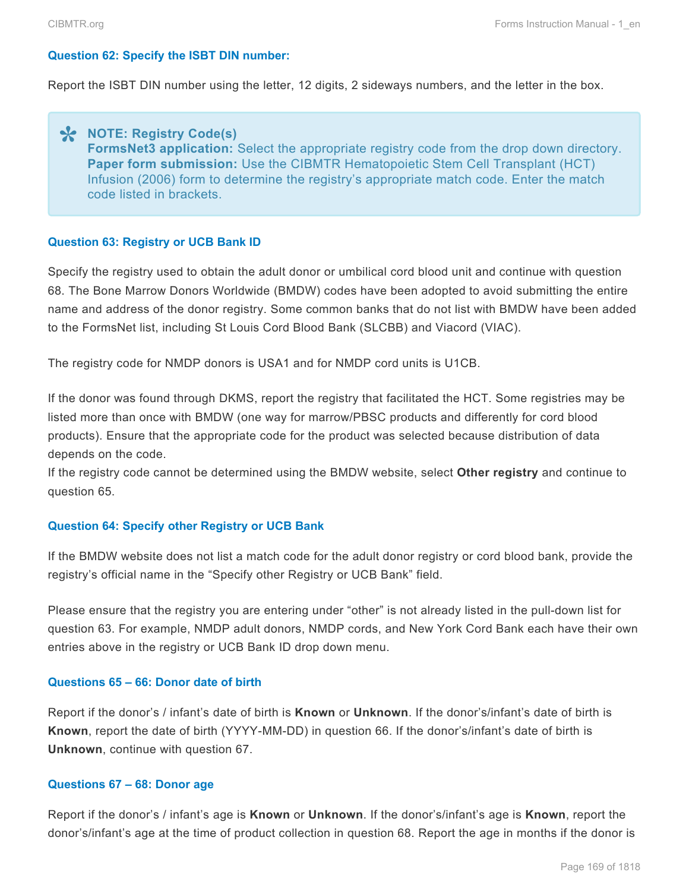#### **Question 62: Specify the ISBT DIN number:**

Report the ISBT DIN number using the letter, 12 digits, 2 sideways numbers, and the letter in the box.

## **NOTE: Registry Code(s) \* FormsNet3 application:** Select the appropriate registry code from the drop down directory. **Paper form submission:** Use the CIBMTR Hematopoietic Stem Cell Transplant (HCT) Infusion (2006) form to determine the registry's appropriate match code. Enter the match code listed in brackets.

#### **Question 63: Registry or UCB Bank ID**

Specify the registry used to obtain the adult donor or umbilical cord blood unit and continue with question 68. The Bone Marrow Donors Worldwide (BMDW) codes have been adopted to avoid submitting the entire name and address of the donor registry. Some common banks that do not list with BMDW have been added to the FormsNet list, including St Louis Cord Blood Bank (SLCBB) and Viacord (VIAC).

The registry code for NMDP donors is USA1 and for NMDP cord units is U1CB.

If the donor was found through DKMS, report the registry that facilitated the HCT. Some registries may be listed more than once with BMDW (one way for marrow/PBSC products and differently for cord blood products). Ensure that the appropriate code for the product was selected because distribution of data depends on the code.

If the registry code cannot be determined using the BMDW website, select **Other registry** and continue to question 65.

#### **Question 64: Specify other Registry or UCB Bank**

If the BMDW website does not list a match code for the adult donor registry or cord blood bank, provide the registry's official name in the "Specify other Registry or UCB Bank" field.

Please ensure that the registry you are entering under "other" is not already listed in the pull-down list for question 63. For example, NMDP adult donors, NMDP cords, and New York Cord Bank each have their own entries above in the registry or UCB Bank ID drop down menu.

#### **Questions 65 – 66: Donor date of birth**

Report if the donor's / infant's date of birth is **Known** or **Unknown**. If the donor's/infant's date of birth is **Known**, report the date of birth (YYYY-MM-DD) in question 66. If the donor's/infant's date of birth is **Unknown**, continue with question 67.

#### **Questions 67 – 68: Donor age**

Report if the donor's / infant's age is **Known** or **Unknown**. If the donor's/infant's age is **Known**, report the donor's/infant's age at the time of product collection in question 68. Report the age in months if the donor is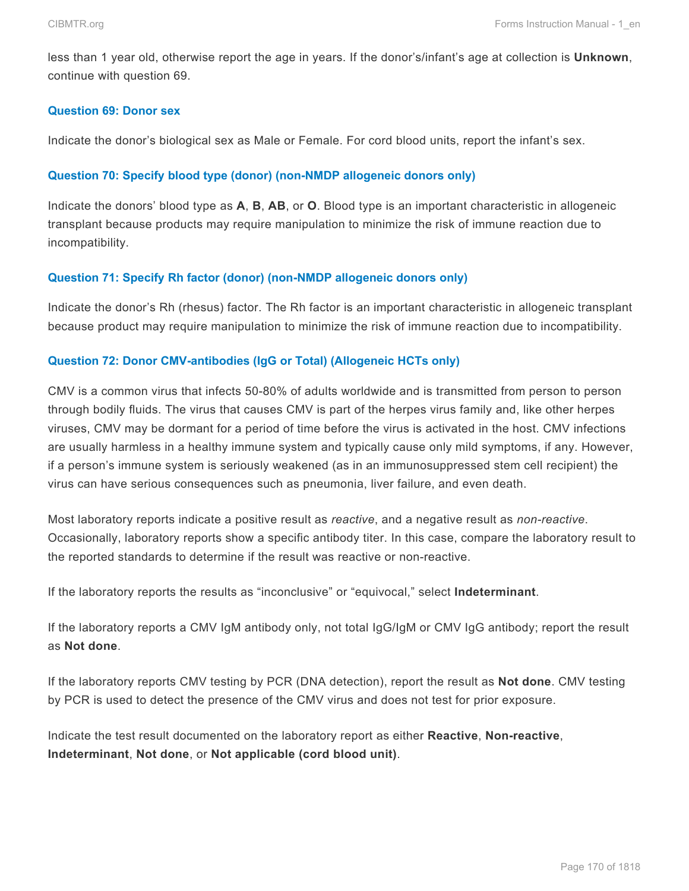less than 1 year old, otherwise report the age in years. If the donor's/infant's age at collection is **Unknown**, continue with question 69.

#### **Question 69: Donor sex**

Indicate the donor's biological sex as Male or Female. For cord blood units, report the infant's sex.

#### **Question 70: Specify blood type (donor) (non-NMDP allogeneic donors only)**

Indicate the donors' blood type as **A**, **B**, **AB**, or **O**. Blood type is an important characteristic in allogeneic transplant because products may require manipulation to minimize the risk of immune reaction due to incompatibility.

#### **Question 71: Specify Rh factor (donor) (non-NMDP allogeneic donors only)**

Indicate the donor's Rh (rhesus) factor. The Rh factor is an important characteristic in allogeneic transplant because product may require manipulation to minimize the risk of immune reaction due to incompatibility.

#### **Question 72: Donor CMV-antibodies (IgG or Total) (Allogeneic HCTs only)**

CMV is a common virus that infects 50-80% of adults worldwide and is transmitted from person to person through bodily fluids. The virus that causes CMV is part of the herpes virus family and, like other herpes viruses, CMV may be dormant for a period of time before the virus is activated in the host. CMV infections are usually harmless in a healthy immune system and typically cause only mild symptoms, if any. However, if a person's immune system is seriously weakened (as in an immunosuppressed stem cell recipient) the virus can have serious consequences such as pneumonia, liver failure, and even death.

Most laboratory reports indicate a positive result as *reactive*, and a negative result as *non-reactive*. Occasionally, laboratory reports show a specific antibody titer. In this case, compare the laboratory result to the reported standards to determine if the result was reactive or non-reactive.

If the laboratory reports the results as "inconclusive" or "equivocal," select **Indeterminant**.

If the laboratory reports a CMV IgM antibody only, not total IgG/IgM or CMV IgG antibody; report the result as **Not done**.

If the laboratory reports CMV testing by PCR (DNA detection), report the result as **Not done**. CMV testing by PCR is used to detect the presence of the CMV virus and does not test for prior exposure.

Indicate the test result documented on the laboratory report as either **Reactive**, **Non-reactive**, **Indeterminant**, **Not done**, or **Not applicable (cord blood unit)**.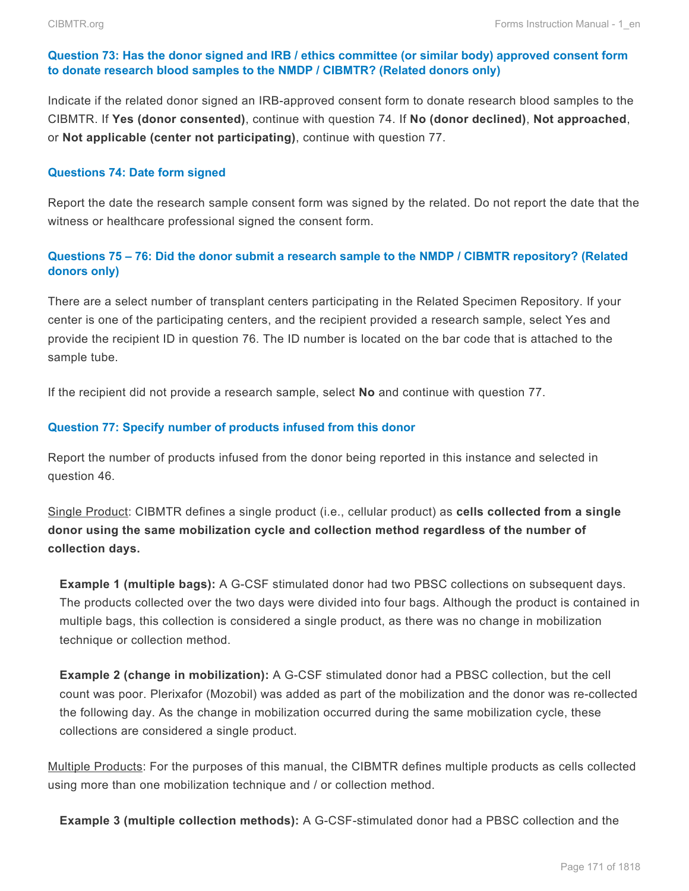#### **Question 73: Has the donor signed and IRB / ethics committee (or similar body) approved consent form to donate research blood samples to the NMDP / CIBMTR? (Related donors only)**

Indicate if the related donor signed an IRB-approved consent form to donate research blood samples to the CIBMTR. If **Yes (donor consented)**, continue with question 74. If **No (donor declined)**, **Not approached**, or **Not applicable (center not participating)**, continue with question 77.

#### **Questions 74: Date form signed**

Report the date the research sample consent form was signed by the related. Do not report the date that the witness or healthcare professional signed the consent form.

## **Questions 75 – 76: Did the donor submit a research sample to the NMDP / CIBMTR repository? (Related donors only)**

There are a select number of transplant centers participating in the Related Specimen Repository. If your center is one of the participating centers, and the recipient provided a research sample, select Yes and provide the recipient ID in question 76. The ID number is located on the bar code that is attached to the sample tube.

If the recipient did not provide a research sample, select **No** and continue with question 77.

#### **Question 77: Specify number of products infused from this donor**

Report the number of products infused from the donor being reported in this instance and selected in question 46.

Single Product: CIBMTR defines a single product (i.e., cellular product) as **cells collected from a single donor using the same mobilization cycle and collection method regardless of the number of collection days.**

**Example 1 (multiple bags):** A G-CSF stimulated donor had two PBSC collections on subsequent days. The products collected over the two days were divided into four bags. Although the product is contained in multiple bags, this collection is considered a single product, as there was no change in mobilization technique or collection method.

**Example 2 (change in mobilization):** A G-CSF stimulated donor had a PBSC collection, but the cell count was poor. Plerixafor (Mozobil) was added as part of the mobilization and the donor was re-collected the following day. As the change in mobilization occurred during the same mobilization cycle, these collections are considered a single product.

Multiple Products: For the purposes of this manual, the CIBMTR defines multiple products as cells collected using more than one mobilization technique and / or collection method.

**Example 3 (multiple collection methods):** A G-CSF-stimulated donor had a PBSC collection and the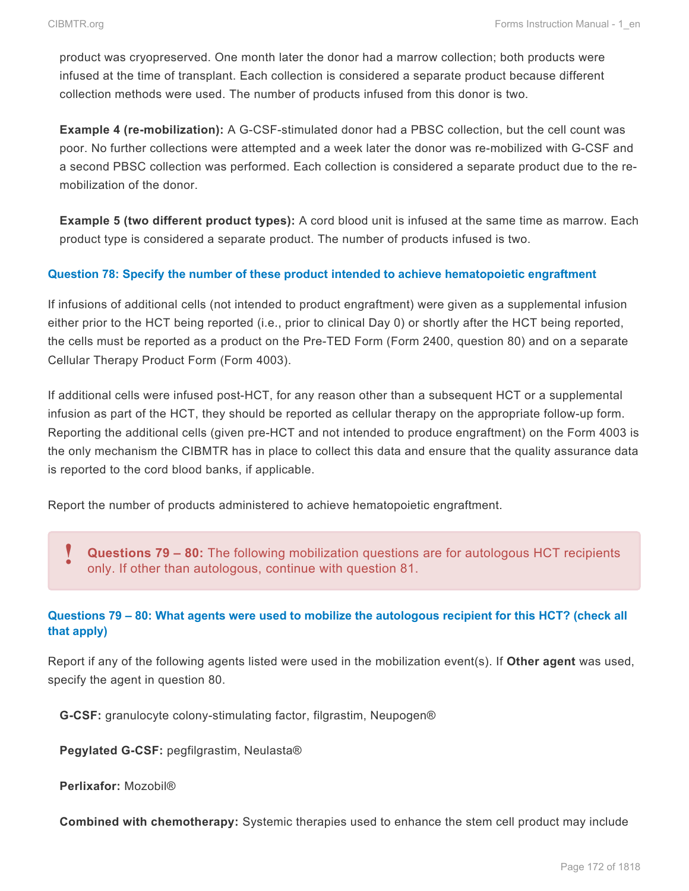product was cryopreserved. One month later the donor had a marrow collection; both products were infused at the time of transplant. Each collection is considered a separate product because different collection methods were used. The number of products infused from this donor is two.

**Example 4 (re-mobilization):** A G-CSF-stimulated donor had a PBSC collection, but the cell count was poor. No further collections were attempted and a week later the donor was re-mobilized with G-CSF and a second PBSC collection was performed. Each collection is considered a separate product due to the remobilization of the donor.

**Example 5 (two different product types):** A cord blood unit is infused at the same time as marrow. Each product type is considered a separate product. The number of products infused is two.

#### **Question 78: Specify the number of these product intended to achieve hematopoietic engraftment**

If infusions of additional cells (not intended to product engraftment) were given as a supplemental infusion either prior to the HCT being reported (i.e., prior to clinical Day 0) or shortly after the HCT being reported, the cells must be reported as a product on the Pre-TED Form (Form 2400, question 80) and on a separate Cellular Therapy Product Form (Form 4003).

If additional cells were infused post-HCT, for any reason other than a subsequent HCT or a supplemental infusion as part of the HCT, they should be reported as cellular therapy on the appropriate follow-up form. Reporting the additional cells (given pre-HCT and not intended to produce engraftment) on the Form 4003 is the only mechanism the CIBMTR has in place to collect this data and ensure that the quality assurance data is reported to the cord blood banks, if applicable.

Report the number of products administered to achieve hematopoietic engraftment.

**Questions 79 – 80:** The following mobilization questions are for autologous HCT recipients only. If other than autologous, continue with question 81. **!**

### **Questions 79 – 80: What agents were used to mobilize the autologous recipient for this HCT? (check all that apply)**

Report if any of the following agents listed were used in the mobilization event(s). If **Other agent** was used, specify the agent in question 80.

**G-CSF:** granulocyte colony-stimulating factor, filgrastim, Neupogen®

**Pegylated G-CSF:** pegfilgrastim, Neulasta®

**Perlixafor:** Mozobil®

**Combined with chemotherapy:** Systemic therapies used to enhance the stem cell product may include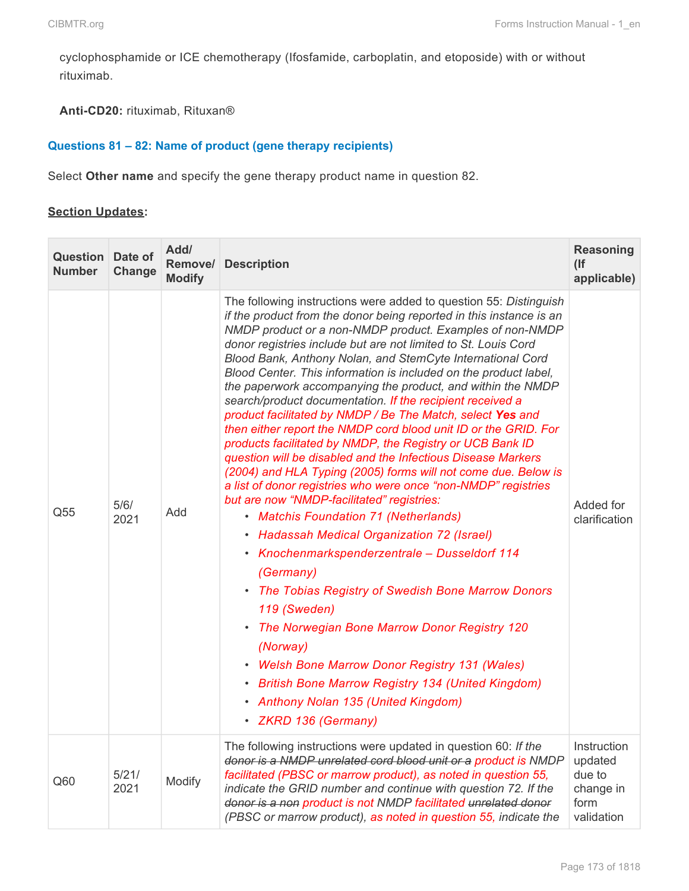cyclophosphamide or ICE chemotherapy (Ifosfamide, carboplatin, and etoposide) with or without rituximab.

**Anti-CD20:** rituximab, Rituxan®

### **Questions 81 – 82: Name of product (gene therapy recipients)**

Select **Other name** and specify the gene therapy product name in question 82.

#### **Section Updates:**

| <b>Question</b> Date of<br><b>Number</b> | Change        | Add/<br>Remove/<br><b>Modify</b> | <b>Description</b>                                                                                                                                                                                                                                                                                                                                                                                                                                                                                                                                                                                                                                                                                                                                                                                                                                                                                                                                                                                                                                                                                                                                                                                                                                                                                                                                                                                                                                     | <b>Reasoning</b><br>(<br>applicable)                                |
|------------------------------------------|---------------|----------------------------------|--------------------------------------------------------------------------------------------------------------------------------------------------------------------------------------------------------------------------------------------------------------------------------------------------------------------------------------------------------------------------------------------------------------------------------------------------------------------------------------------------------------------------------------------------------------------------------------------------------------------------------------------------------------------------------------------------------------------------------------------------------------------------------------------------------------------------------------------------------------------------------------------------------------------------------------------------------------------------------------------------------------------------------------------------------------------------------------------------------------------------------------------------------------------------------------------------------------------------------------------------------------------------------------------------------------------------------------------------------------------------------------------------------------------------------------------------------|---------------------------------------------------------------------|
| Q55                                      | 5/6/<br>2021  | Add                              | The following instructions were added to question 55: Distinguish<br>if the product from the donor being reported in this instance is an<br>NMDP product or a non-NMDP product. Examples of non-NMDP<br>donor registries include but are not limited to St. Louis Cord<br>Blood Bank, Anthony Nolan, and StemCyte International Cord<br>Blood Center. This information is included on the product label,<br>the paperwork accompanying the product, and within the NMDP<br>search/product documentation. If the recipient received a<br>product facilitated by NMDP / Be The Match, select Yes and<br>then either report the NMDP cord blood unit ID or the GRID. For<br>products facilitated by NMDP, the Registry or UCB Bank ID<br>question will be disabled and the Infectious Disease Markers<br>(2004) and HLA Typing (2005) forms will not come due. Below is<br>a list of donor registries who were once "non-NMDP" registries<br>but are now "NMDP-facilitated" registries:<br>• Matchis Foundation 71 (Netherlands)<br>• Hadassah Medical Organization 72 (Israel)<br>• Knochenmarkspenderzentrale - Dusseldorf 114<br>(Germany)<br>• The Tobias Registry of Swedish Bone Marrow Donors<br>119 (Sweden)<br>The Norwegian Bone Marrow Donor Registry 120<br>(Norway)<br>• Welsh Bone Marrow Donor Registry 131 (Wales)<br>• British Bone Marrow Registry 134 (United Kingdom)<br>• Anthony Nolan 135 (United Kingdom)<br>· ZKRD 136 (Germany) | Added for<br>clarification                                          |
| Q60                                      | 5/21/<br>2021 | Modify                           | The following instructions were updated in question 60: If the<br>donor is a NMDP unrelated cord blood unit or a product is NMDP<br>facilitated (PBSC or marrow product), as noted in question 55,<br>indicate the GRID number and continue with question 72. If the<br>donor is a non product is not NMDP facilitated unrelated donor<br>(PBSC or marrow product), as noted in question 55, indicate the                                                                                                                                                                                                                                                                                                                                                                                                                                                                                                                                                                                                                                                                                                                                                                                                                                                                                                                                                                                                                                              | Instruction<br>updated<br>due to<br>change in<br>form<br>validation |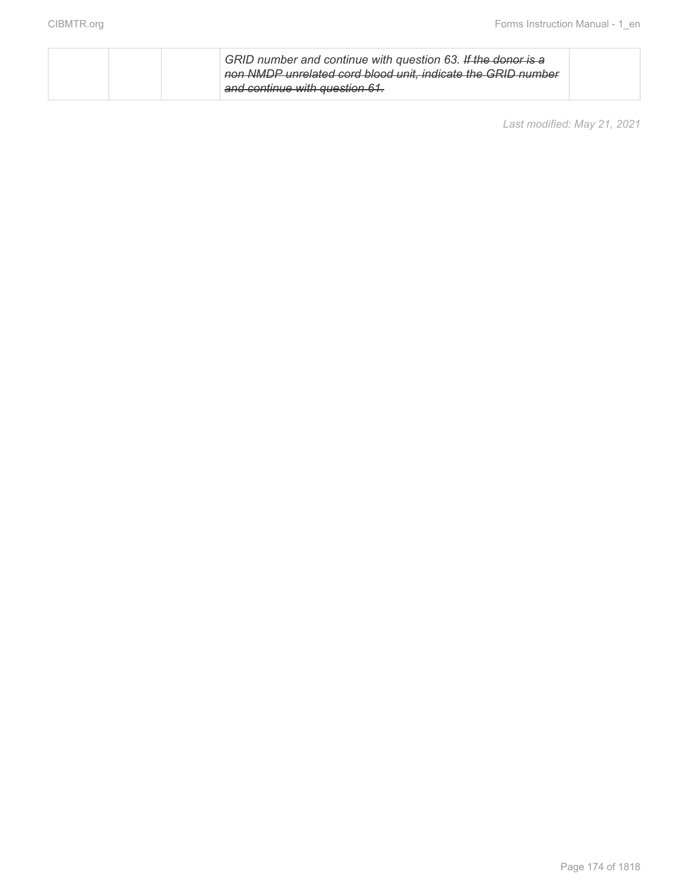|  | GRID number and continue with question 63. If the donor is a<br>non NMDP unrelated cord blood unit, indicate the GRID number |  |
|--|------------------------------------------------------------------------------------------------------------------------------|--|
|  | and continue with question 61.                                                                                               |  |

*Last modified: May 21, 2021*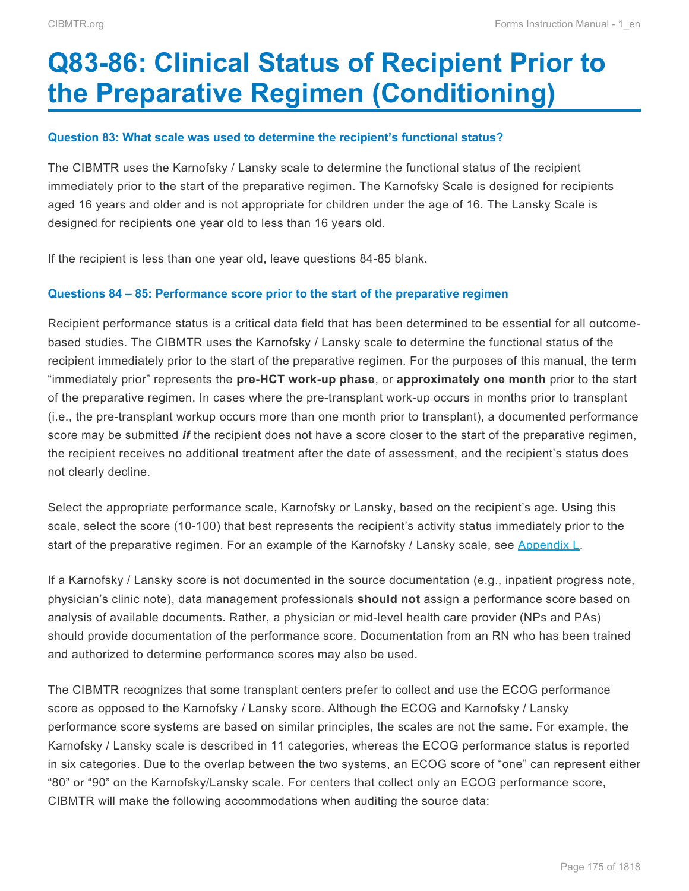# <span id="page-26-0"></span>**Q83-86: Clinical Status of Recipient Prior to the Preparative Regimen (Conditioning)**

#### **Question 83: What scale was used to determine the recipient's functional status?**

The CIBMTR uses the Karnofsky / Lansky scale to determine the functional status of the recipient immediately prior to the start of the preparative regimen. The Karnofsky Scale is designed for recipients aged 16 years and older and is not appropriate for children under the age of 16. The Lansky Scale is designed for recipients one year old to less than 16 years old.

If the recipient is less than one year old, leave questions 84-85 blank.

#### **Questions 84 – 85: Performance score prior to the start of the preparative regimen**

Recipient performance status is a critical data field that has been determined to be essential for all outcomebased studies. The CIBMTR uses the Karnofsky / Lansky scale to determine the functional status of the recipient immediately prior to the start of the preparative regimen. For the purposes of this manual, the term "immediately prior" represents the **pre-HCT work-up phase**, or **approximately one month** prior to the start of the preparative regimen. In cases where the pre-transplant work-up occurs in months prior to transplant (i.e., the pre-transplant workup occurs more than one month prior to transplant), a documented performance score may be submitted *if* the recipient does not have a score closer to the start of the preparative regimen, the recipient receives no additional treatment after the date of assessment, and the recipient's status does not clearly decline.

Select the appropriate performance scale, Karnofsky or Lansky, based on the recipient's age. Using this scale, select the score (10-100) that best represents the recipient's activity status immediately prior to the start of the preparative regimen. For an example of the Karnofsky / Lansky scale, see Appendix L.

If a Karnofsky / Lansky score is not documented in the source documentation (e.g., inpatient progress note, physician's clinic note), data management professionals **should not** assign a performance score based on analysis of available documents. Rather, a physician or mid-level health care provider (NPs and PAs) should provide documentation of the performance score. Documentation from an RN who has been trained and authorized to determine performance scores may also be used.

The CIBMTR recognizes that some transplant centers prefer to collect and use the ECOG performance score as opposed to the Karnofsky / Lansky score. Although the ECOG and Karnofsky / Lansky performance score systems are based on similar principles, the scales are not the same. For example, the Karnofsky / Lansky scale is described in 11 categories, whereas the ECOG performance status is reported in six categories. Due to the overlap between the two systems, an ECOG score of "one" can represent either "80" or "90" on the Karnofsky/Lansky scale. For centers that collect only an ECOG performance score, CIBMTR will make the following accommodations when auditing the source data: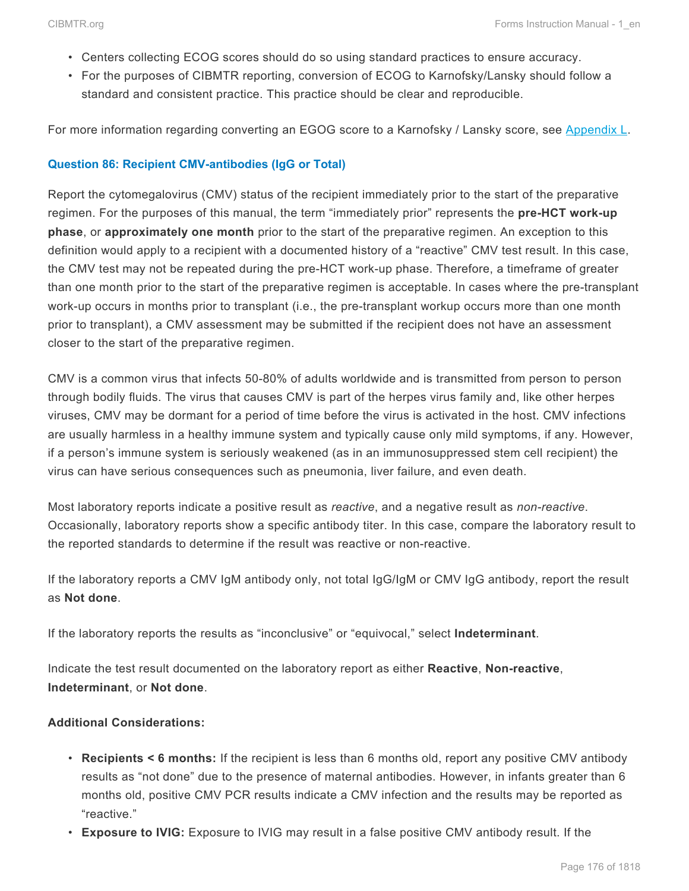- Centers collecting ECOG scores should do so using standard practices to ensure accuracy.
- For the purposes of CIBMTR reporting, conversion of ECOG to Karnofsky/Lansky should follow a standard and consistent practice. This practice should be clear and reproducible.

For more information regarding converting an EGOG score to a Karnofsky / Lansky score, see Appendix L.

#### **Question 86: Recipient CMV-antibodies (IgG or Total)**

Report the cytomegalovirus (CMV) status of the recipient immediately prior to the start of the preparative regimen. For the purposes of this manual, the term "immediately prior" represents the **pre-HCT work-up phase**, or **approximately one month** prior to the start of the preparative regimen. An exception to this definition would apply to a recipient with a documented history of a "reactive" CMV test result. In this case, the CMV test may not be repeated during the pre-HCT work-up phase. Therefore, a timeframe of greater than one month prior to the start of the preparative regimen is acceptable. In cases where the pre-transplant work-up occurs in months prior to transplant (i.e., the pre-transplant workup occurs more than one month prior to transplant), a CMV assessment may be submitted if the recipient does not have an assessment closer to the start of the preparative regimen.

CMV is a common virus that infects 50-80% of adults worldwide and is transmitted from person to person through bodily fluids. The virus that causes CMV is part of the herpes virus family and, like other herpes viruses, CMV may be dormant for a period of time before the virus is activated in the host. CMV infections are usually harmless in a healthy immune system and typically cause only mild symptoms, if any. However, if a person's immune system is seriously weakened (as in an immunosuppressed stem cell recipient) the virus can have serious consequences such as pneumonia, liver failure, and even death.

Most laboratory reports indicate a positive result as *reactive*, and a negative result as *non-reactive*. Occasionally, laboratory reports show a specific antibody titer. In this case, compare the laboratory result to the reported standards to determine if the result was reactive or non-reactive.

If the laboratory reports a CMV IgM antibody only, not total IgG/IgM or CMV IgG antibody, report the result as **Not done**.

If the laboratory reports the results as "inconclusive" or "equivocal," select **Indeterminant**.

Indicate the test result documented on the laboratory report as either **Reactive**, **Non-reactive**, **Indeterminant**, or **Not done**.

### **Additional Considerations:**

- **Recipients < 6 months:** If the recipient is less than 6 months old, report any positive CMV antibody results as "not done" due to the presence of maternal antibodies. However, in infants greater than 6 months old, positive CMV PCR results indicate a CMV infection and the results may be reported as "reactive."
- **Exposure to IVIG:** Exposure to IVIG may result in a false positive CMV antibody result. If the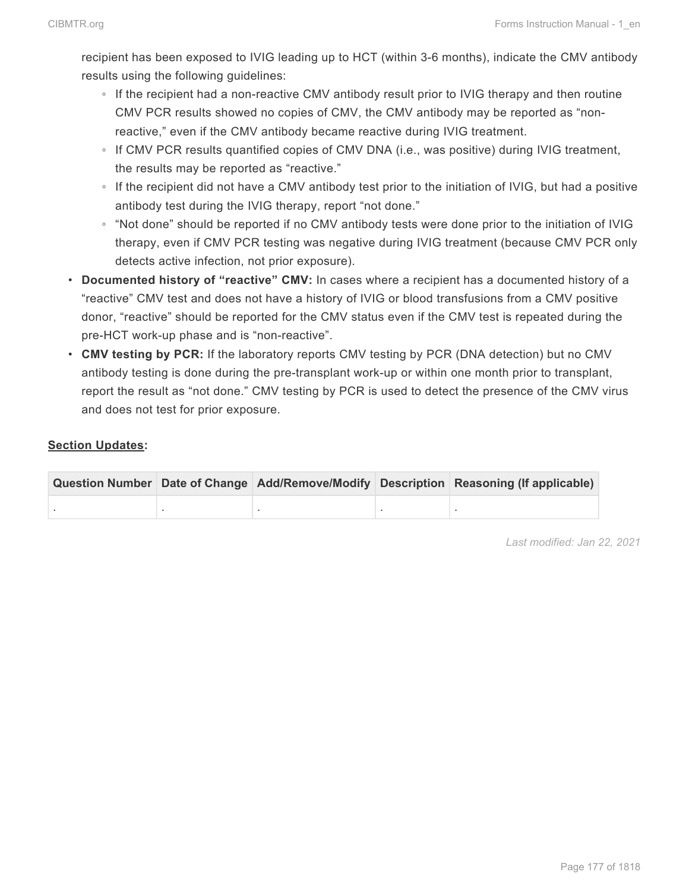recipient has been exposed to IVIG leading up to HCT (within 3-6 months), indicate the CMV antibody results using the following guidelines:

- If the recipient had a non-reactive CMV antibody result prior to IVIG therapy and then routine CMV PCR results showed no copies of CMV, the CMV antibody may be reported as "nonreactive," even if the CMV antibody became reactive during IVIG treatment.
- If CMV PCR results quantified copies of CMV DNA (i.e., was positive) during IVIG treatment, the results may be reported as "reactive."
- If the recipient did not have a CMV antibody test prior to the initiation of IVIG, but had a positive antibody test during the IVIG therapy, report "not done."
- "Not done" should be reported if no CMV antibody tests were done prior to the initiation of IVIG therapy, even if CMV PCR testing was negative during IVIG treatment (because CMV PCR only detects active infection, not prior exposure).
- **Documented history of "reactive" CMV:** In cases where a recipient has a documented history of a "reactive" CMV test and does not have a history of IVIG or blood transfusions from a CMV positive donor, "reactive" should be reported for the CMV status even if the CMV test is repeated during the pre-HCT work-up phase and is "non-reactive".
- **CMV testing by PCR:** If the laboratory reports CMV testing by PCR (DNA detection) but no CMV antibody testing is done during the pre-transplant work-up or within one month prior to transplant, report the result as "not done." CMV testing by PCR is used to detect the presence of the CMV virus and does not test for prior exposure.

## **Section Updates:**

|  |  | Question Number Date of Change Add/Remove/Modify Description Reasoning (If applicable) |
|--|--|----------------------------------------------------------------------------------------|
|  |  |                                                                                        |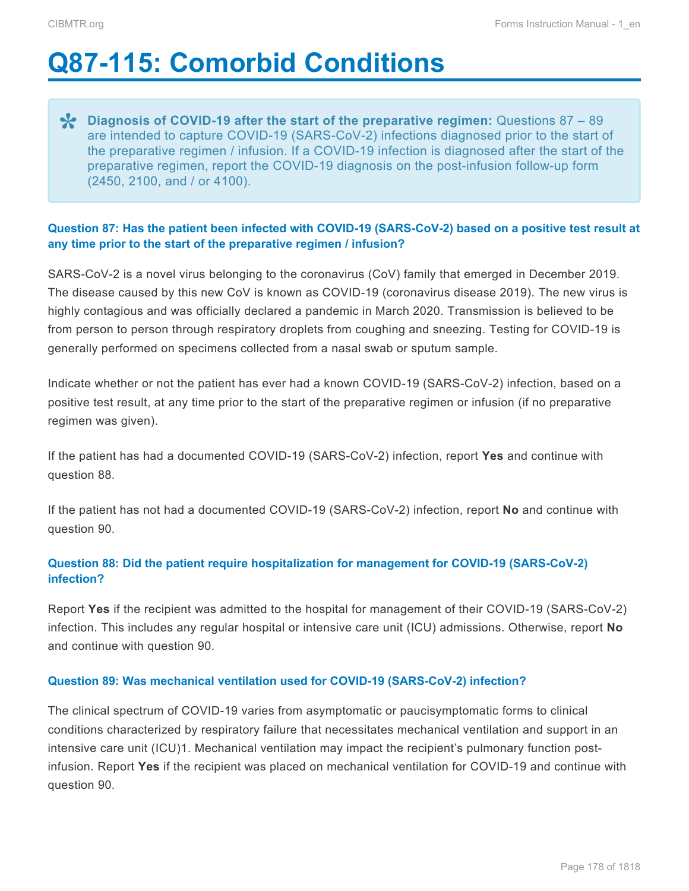# <span id="page-29-0"></span>**Q87-115: Comorbid Conditions**

**Pliagnosis of COVID-19 after the start of the preparative regimen:** Questions 87 – 89<br>are intended to capture COVID-19 (SARS-CoV-2) infections diagnosed prior to the start of are intended to capture COVID-19 (SARS-CoV-2) infections diagnosed prior to the start of the preparative regimen / infusion. If a COVID-19 infection is diagnosed after the start of the preparative regimen, report the COVID-19 diagnosis on the post-infusion follow-up form (2450, 2100, and / or 4100).

## **Question 87: Has the patient been infected with COVID-19 (SARS-CoV-2) based on a positive test result at any time prior to the start of the preparative regimen / infusion?**

SARS-CoV-2 is a novel virus belonging to the coronavirus (CoV) family that emerged in December 2019. The disease caused by this new CoV is known as COVID-19 (coronavirus disease 2019). The new virus is highly contagious and was officially declared a pandemic in March 2020. Transmission is believed to be from person to person through respiratory droplets from coughing and sneezing. Testing for COVID-19 is generally performed on specimens collected from a nasal swab or sputum sample.

Indicate whether or not the patient has ever had a known COVID-19 (SARS-CoV-2) infection, based on a positive test result, at any time prior to the start of the preparative regimen or infusion (if no preparative regimen was given).

If the patient has had a documented COVID-19 (SARS-CoV-2) infection, report **Yes** and continue with question 88.

If the patient has not had a documented COVID-19 (SARS-CoV-2) infection, report **No** and continue with question 90.

## **Question 88: Did the patient require hospitalization for management for COVID-19 (SARS-CoV-2) infection?**

Report **Yes** if the recipient was admitted to the hospital for management of their COVID-19 (SARS-CoV-2) infection. This includes any regular hospital or intensive care unit (ICU) admissions. Otherwise, report **No** and continue with question 90.

### **Question 89: Was mechanical ventilation used for COVID-19 (SARS-CoV-2) infection?**

The clinical spectrum of COVID-19 varies from asymptomatic or paucisymptomatic forms to clinical conditions characterized by respiratory failure that necessitates mechanical ventilation and support in an intensive care unit (ICU)1. Mechanical ventilation may impact the recipient's pulmonary function postinfusion. Report **Yes** if the recipient was placed on mechanical ventilation for COVID-19 and continue with question 90.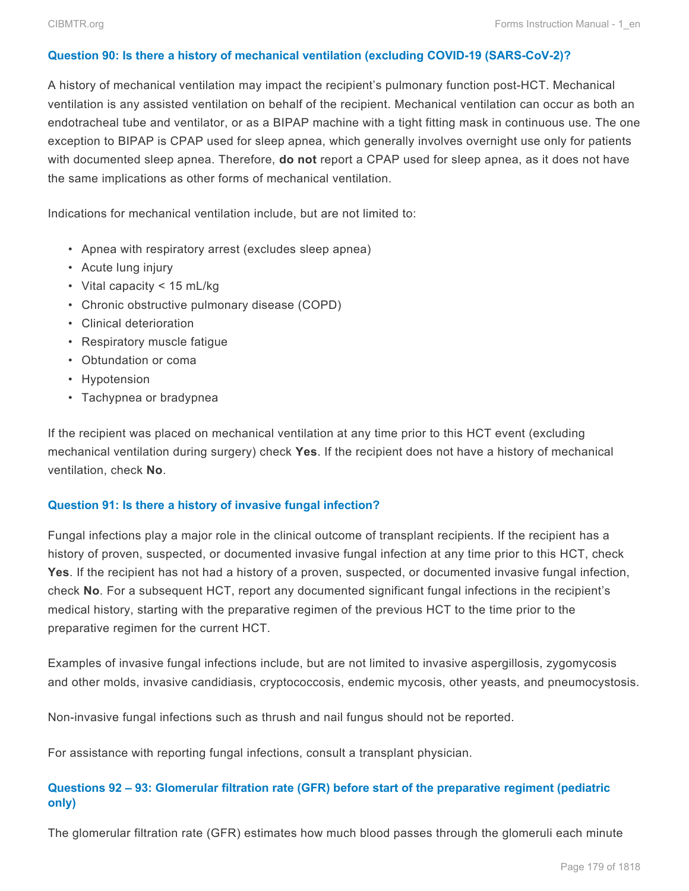#### **Question 90: Is there a history of mechanical ventilation (excluding COVID-19 (SARS-CoV-2)?**

A history of mechanical ventilation may impact the recipient's pulmonary function post-HCT. Mechanical ventilation is any assisted ventilation on behalf of the recipient. Mechanical ventilation can occur as both an endotracheal tube and ventilator, or as a BIPAP machine with a tight fitting mask in continuous use. The one exception to BIPAP is CPAP used for sleep apnea, which generally involves overnight use only for patients with documented sleep apnea. Therefore, **do not** report a CPAP used for sleep apnea, as it does not have the same implications as other forms of mechanical ventilation.

Indications for mechanical ventilation include, but are not limited to:

- Apnea with respiratory arrest (excludes sleep apnea)
- Acute lung injury
- Vital capacity < 15 mL/kg
- Chronic obstructive pulmonary disease (COPD)
- Clinical deterioration
- Respiratory muscle fatigue
- Obtundation or coma
- Hypotension
- Tachypnea or bradypnea

If the recipient was placed on mechanical ventilation at any time prior to this HCT event (excluding mechanical ventilation during surgery) check **Yes**. If the recipient does not have a history of mechanical ventilation, check **No**.

#### **Question 91: Is there a history of invasive fungal infection?**

Fungal infections play a major role in the clinical outcome of transplant recipients. If the recipient has a history of proven, suspected, or documented invasive fungal infection at any time prior to this HCT, check **Yes**. If the recipient has not had a history of a proven, suspected, or documented invasive fungal infection, check **No**. For a subsequent HCT, report any documented significant fungal infections in the recipient's medical history, starting with the preparative regimen of the previous HCT to the time prior to the preparative regimen for the current HCT.

Examples of invasive fungal infections include, but are not limited to invasive aspergillosis, zygomycosis and other molds, invasive candidiasis, cryptococcosis, endemic mycosis, other yeasts, and pneumocystosis.

Non-invasive fungal infections such as thrush and nail fungus should not be reported.

For assistance with reporting fungal infections, consult a transplant physician.

## **Questions 92 – 93: Glomerular filtration rate (GFR) before start of the preparative regiment (pediatric only)**

The glomerular filtration rate (GFR) estimates how much blood passes through the glomeruli each minute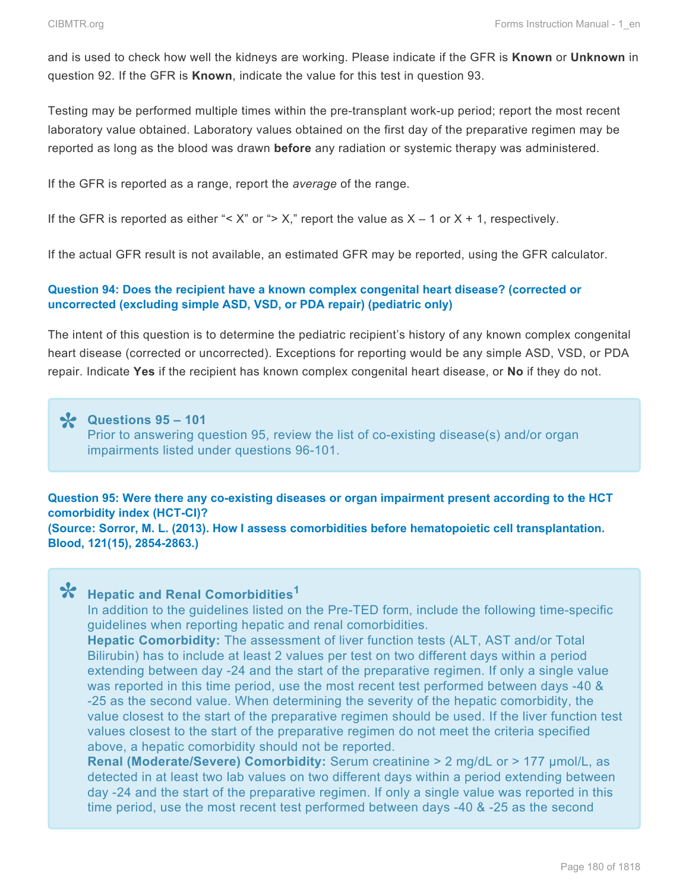and is used to check how well the kidneys are working. Please indicate if the GFR is **Known** or **Unknown** in question 92. If the GFR is **Known**, indicate the value for this test in question 93.

Testing may be performed multiple times within the pre-transplant work-up period; report the most recent laboratory value obtained. Laboratory values obtained on the first day of the preparative regimen may be reported as long as the blood was drawn **before** any radiation or systemic therapy was administered.

If the GFR is reported as a range, report the *average* of the range.

If the GFR is reported as either "< X" or "> X," report the value as  $X - 1$  or  $X + 1$ , respectively.

If the actual GFR result is not available, an estimated GFR may be reported, using the GFR calculator.

#### **Question 94: Does the recipient have a known complex congenital heart disease? (corrected or uncorrected (excluding simple ASD, VSD, or PDA repair) (pediatric only)**

The intent of this question is to determine the pediatric recipient's history of any known complex congenital heart disease (corrected or uncorrected). Exceptions for reporting would be any simple ASD, VSD, or PDA repair. Indicate **Yes** if the recipient has known complex congenital heart disease, or **No** if they do not.

## **Questions 95 – 101 \*** Prior to answering question 95, review the list of co-existing disease(s) and/or organ impairments listed under questions 96-101.

**Question 95: Were there any co-existing diseases or organ impairment present according to the HCT comorbidity index (HCT-CI)? (Source: Sorror, M. L. (2013). How I assess comorbidities before hematopoietic cell transplantation. Blood, 121(15), 2854-2863.)**

# **Hepatic and Renal Comorbidities<sup>1</sup> \***

In addition to the guidelines listed on the Pre-TED form, include the following time-specific guidelines when reporting hepatic and renal comorbidities.

**Hepatic Comorbidity:** The assessment of liver function tests (ALT, AST and/or Total Bilirubin) has to include at least 2 values per test on two different days within a period extending between day -24 and the start of the preparative regimen. If only a single value was reported in this time period, use the most recent test performed between days -40 & -25 as the second value. When determining the severity of the hepatic comorbidity, the value closest to the start of the preparative regimen should be used. If the liver function test values closest to the start of the preparative regimen do not meet the criteria specified above, a hepatic comorbidity should not be reported.

**Renal (Moderate/Severe) Comorbidity:** Serum creatinine > 2 mg/dL or > 177 μmol/L, as detected in at least two lab values on two different days within a period extending between day -24 and the start of the preparative regimen. If only a single value was reported in this time period, use the most recent test performed between days -40 & -25 as the second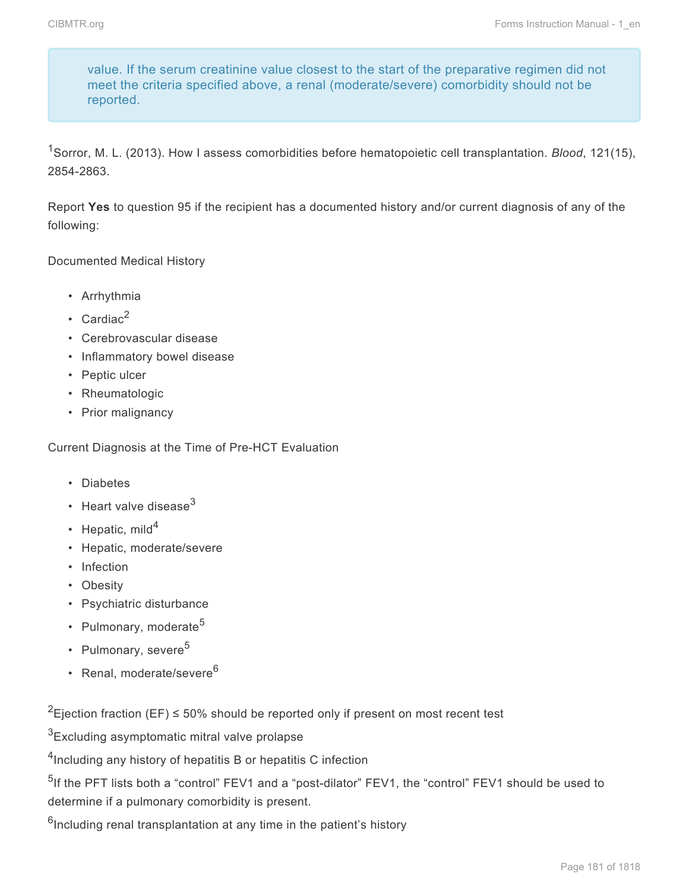value. If the serum creatinine value closest to the start of the preparative regimen did not meet the criteria specified above, a renal (moderate/severe) comorbidity should not be reported.

<sup>1</sup>Sorror, M. L. (2013). How I assess comorbidities before hematopoietic cell transplantation. *Blood*, 121(15), 2854-2863.

Report **Yes** to question 95 if the recipient has a documented history and/or current diagnosis of any of the following:

Documented Medical History

- Arrhythmia
- Cardiac $^2$
- Cerebrovascular disease
- Inflammatory bowel disease
- Peptic ulcer
- Rheumatologic
- Prior malignancy

Current Diagnosis at the Time of Pre-HCT Evaluation

- Diabetes
- Heart valve disease $3$
- Hepatic, mild $4$
- Hepatic, moderate/severe
- Infection
- Obesity
- Psychiatric disturbance
- Pulmonary, moderate $5$
- Pulmonary, severe<sup>5</sup>
- Renal, moderate/severe<sup>6</sup>

<sup>2</sup>Ejection fraction (EF)  $\leq$  50% should be reported only if present on most recent test

<sup>3</sup>Excluding asymptomatic mitral valve prolapse

<sup>4</sup>Including any history of hepatitis B or hepatitis C infection

<sup>5</sup>If the PFT lists both a "control" FEV1 and a "post-dilator" FEV1, the "control" FEV1 should be used to determine if a pulmonary comorbidity is present.

 $6$ Including renal transplantation at any time in the patient's history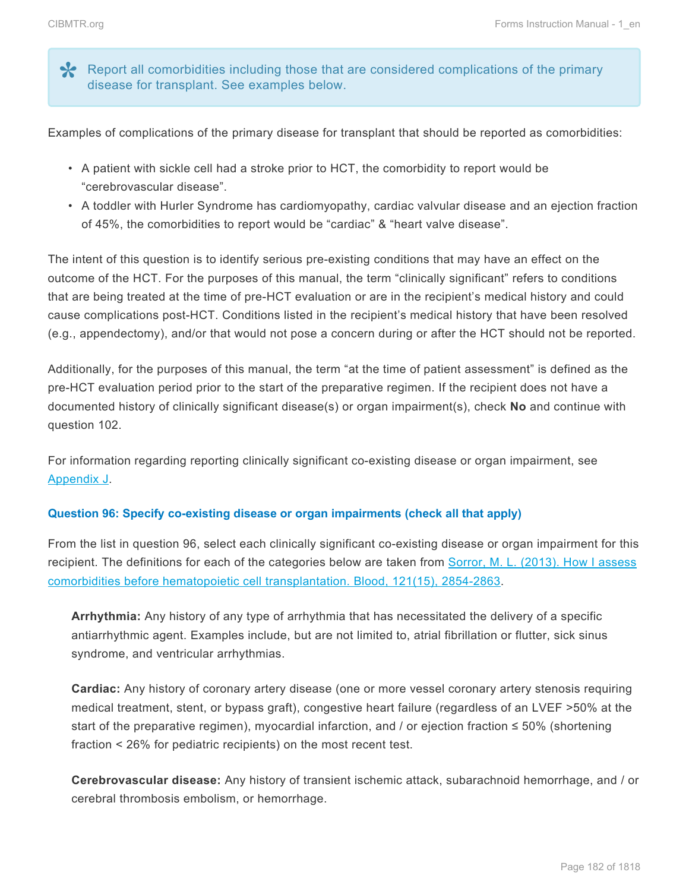Report all comorbidities including those that are considered complications of the primary disease for transplant. See examples below.

Examples of complications of the primary disease for transplant that should be reported as comorbidities:

- A patient with sickle cell had a stroke prior to HCT, the comorbidity to report would be "cerebrovascular disease".
- A toddler with Hurler Syndrome has cardiomyopathy, cardiac valvular disease and an ejection fraction of 45%, the comorbidities to report would be "cardiac" & "heart valve disease".

The intent of this question is to identify serious pre-existing conditions that may have an effect on the outcome of the HCT. For the purposes of this manual, the term "clinically significant" refers to conditions that are being treated at the time of pre-HCT evaluation or are in the recipient's medical history and could cause complications post-HCT. Conditions listed in the recipient's medical history that have been resolved (e.g., appendectomy), and/or that would not pose a concern during or after the HCT should not be reported.

Additionally, for the purposes of this manual, the term "at the time of patient assessment" is defined as the pre-HCT evaluation period prior to the start of the preparative regimen. If the recipient does not have a documented history of clinically significant disease(s) or organ impairment(s), check **No** and continue with question 102.

For information regarding reporting clinically significant co-existing disease or organ impairment, see Appendix J.

### **Question 96: Specify co-existing disease or organ impairments (check all that apply)**

From the list in question 96, select each clinically significant co-existing disease or organ impairment for this recipient. The definitions for each of the categories below are taken from [Sorror, M. L. \(2013\). How I assess](http://www.bloodjournal.org/content/bloodjournal/121/15/2854.full.pdf) [comorbidities before hematopoietic cell transplantation. Blood, 121\(15\), 2854-2863](http://www.bloodjournal.org/content/bloodjournal/121/15/2854.full.pdf).

**Arrhythmia:** Any history of any type of arrhythmia that has necessitated the delivery of a specific antiarrhythmic agent. Examples include, but are not limited to, atrial fibrillation or flutter, sick sinus syndrome, and ventricular arrhythmias.

**Cardiac:** Any history of coronary artery disease (one or more vessel coronary artery stenosis requiring medical treatment, stent, or bypass graft), congestive heart failure (regardless of an LVEF >50% at the start of the preparative regimen), myocardial infarction, and / or ejection fraction  $\leq 50\%$  (shortening fraction < 26% for pediatric recipients) on the most recent test.

**Cerebrovascular disease:** Any history of transient ischemic attack, subarachnoid hemorrhage, and / or cerebral thrombosis embolism, or hemorrhage.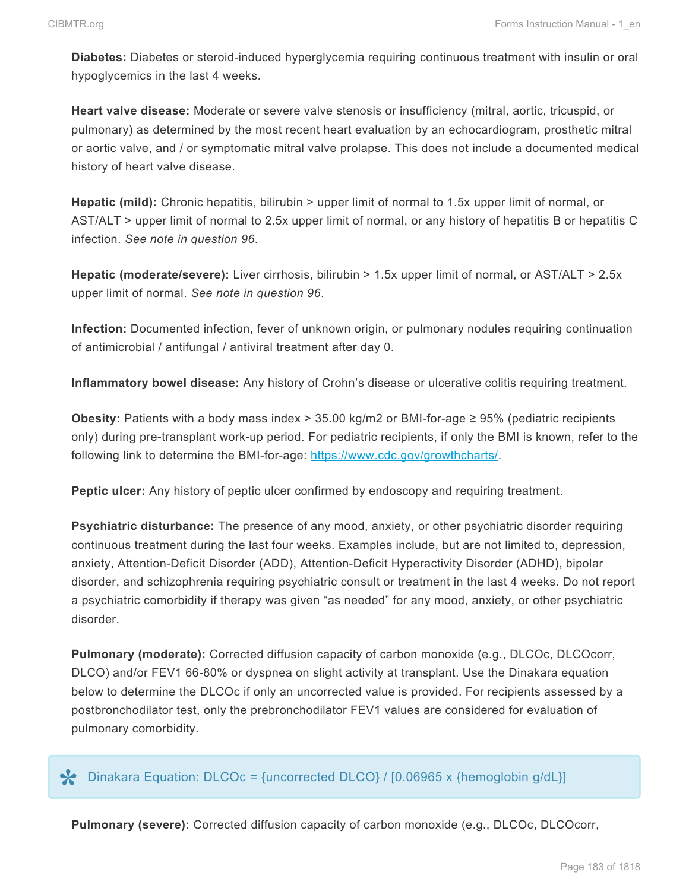**Diabetes:** Diabetes or steroid-induced hyperglycemia requiring continuous treatment with insulin or oral hypoglycemics in the last 4 weeks.

**Heart valve disease:** Moderate or severe valve stenosis or insufficiency (mitral, aortic, tricuspid, or pulmonary) as determined by the most recent heart evaluation by an echocardiogram, prosthetic mitral or aortic valve, and / or symptomatic mitral valve prolapse. This does not include a documented medical history of heart valve disease.

**Hepatic (mild):** Chronic hepatitis, bilirubin > upper limit of normal to 1.5x upper limit of normal, or AST/ALT > upper limit of normal to 2.5x upper limit of normal, or any history of hepatitis B or hepatitis C infection. *See note in question 96*.

**Hepatic (moderate/severe):** Liver cirrhosis, bilirubin > 1.5x upper limit of normal, or AST/ALT > 2.5x upper limit of normal. *See note in question 96*.

**Infection:** Documented infection, fever of unknown origin, or pulmonary nodules requiring continuation of antimicrobial / antifungal / antiviral treatment after day 0.

**Inflammatory bowel disease:** Any history of Crohn's disease or ulcerative colitis requiring treatment.

**Obesity:** Patients with a body mass index > 35.00 kg/m2 or BMI-for-age ≥ 95% (pediatric recipients only) during pre-transplant work-up period. For pediatric recipients, if only the BMI is known, refer to the following link to determine the BMI-for-age: [https://www.cdc.gov/growthcharts/.](http://www.cdc.gov/growthcharts/)

**Peptic ulcer:** Any history of peptic ulcer confirmed by endoscopy and requiring treatment.

**Psychiatric disturbance:** The presence of any mood, anxiety, or other psychiatric disorder requiring continuous treatment during the last four weeks. Examples include, but are not limited to, depression, anxiety, Attention-Deficit Disorder (ADD), Attention-Deficit Hyperactivity Disorder (ADHD), bipolar disorder, and schizophrenia requiring psychiatric consult or treatment in the last 4 weeks. Do not report a psychiatric comorbidity if therapy was given "as needed" for any mood, anxiety, or other psychiatric disorder.

**Pulmonary (moderate):** Corrected diffusion capacity of carbon monoxide (e.g., DLCOc, DLCOcorr, DLCO) and/or FEV1 66-80% or dyspnea on slight activity at transplant. Use the Dinakara equation below to determine the DLCOc if only an uncorrected value is provided. For recipients assessed by a postbronchodilator test, only the prebronchodilator FEV1 values are considered for evaluation of pulmonary comorbidity.

## Dinakara Equation: DLCOc = {uncorrected DLCO} / [0.06965 x {hemoglobin g/dL}] **\***

**Pulmonary (severe):** Corrected diffusion capacity of carbon monoxide (e.g., DLCOc, DLCOcorr,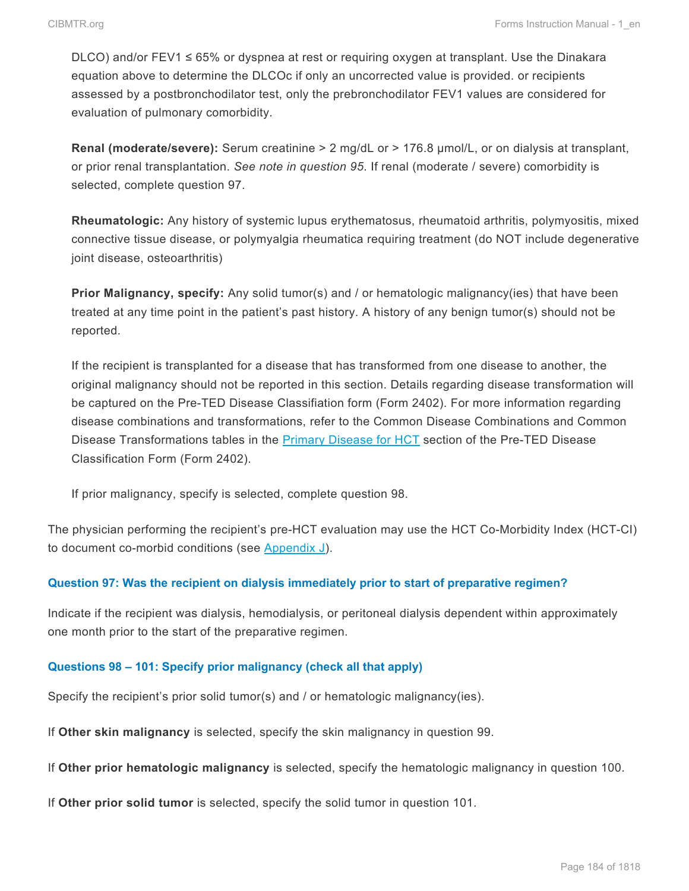DLCO) and/or FEV1 ≤ 65% or dyspnea at rest or requiring oxygen at transplant. Use the Dinakara equation above to determine the DLCOc if only an uncorrected value is provided. or recipients assessed by a postbronchodilator test, only the prebronchodilator FEV1 values are considered for evaluation of pulmonary comorbidity.

**Renal (moderate/severe):** Serum creatinine > 2 mg/dL or > 176.8 μmol/L, or on dialysis at transplant, or prior renal transplantation. *See note in question 95*. If renal (moderate / severe) comorbidity is selected, complete question 97.

**Rheumatologic:** Any history of systemic lupus erythematosus, rheumatoid arthritis, polymyositis, mixed connective tissue disease, or polymyalgia rheumatica requiring treatment (do NOT include degenerative joint disease, osteoarthritis)

**Prior Malignancy, specify:** Any solid tumor(s) and / or hematologic malignancy(ies) that have been treated at any time point in the patient's past history. A history of any benign tumor(s) should not be reported.

If the recipient is transplanted for a disease that has transformed from one disease to another, the original malignancy should not be reported in this section. Details regarding disease transformation will be captured on the Pre-TED Disease Classifiation form (Form 2402). For more information regarding disease combinations and transformations, refer to the Common Disease Combinations and Common Disease Transformations tables in the **[Primary Disease for](http://www.cibmtr.org/manuals/fim/1/en/topic/q1-2-primary-disease-for-hct) HCT** section of the Pre-TED Disease Classification Form (Form 2402).

If prior malignancy, specify is selected, complete question 98.

The physician performing the recipient's pre-HCT evaluation may use the HCT Co-Morbidity Index (HCT-CI) to document co-morbid conditions (see Appendix J).

### **Question 97: Was the recipient on dialysis immediately prior to start of preparative regimen?**

Indicate if the recipient was dialysis, hemodialysis, or peritoneal dialysis dependent within approximately one month prior to the start of the preparative regimen.

#### **Questions 98 – 101: Specify prior malignancy (check all that apply)**

Specify the recipient's prior solid tumor(s) and / or hematologic malignancy(ies).

If **Other skin malignancy** is selected, specify the skin malignancy in question 99.

If **Other prior hematologic malignancy** is selected, specify the hematologic malignancy in question 100.

If **Other prior solid tumor** is selected, specify the solid tumor in question 101.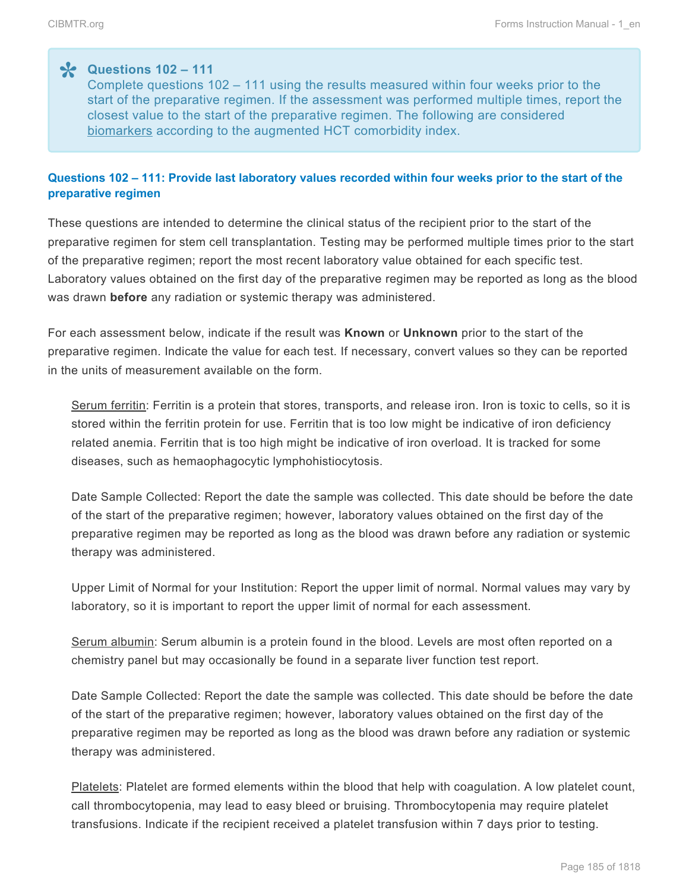$\text{Questions } 102 - 111$ <br>Complete questions 1 Complete questions 102 – 111 using the results measured within four weeks prior to the start of the preparative regimen. If the assessment was performed multiple times, report the closest value to the start of the preparative regimen. The following are considered biomarkers according to the augmented HCT comorbidity index.

## **Questions 102 – 111: Provide last laboratory values recorded within four weeks prior to the start of the preparative regimen**

These questions are intended to determine the clinical status of the recipient prior to the start of the preparative regimen for stem cell transplantation. Testing may be performed multiple times prior to the start of the preparative regimen; report the most recent laboratory value obtained for each specific test. Laboratory values obtained on the first day of the preparative regimen may be reported as long as the blood was drawn **before** any radiation or systemic therapy was administered.

For each assessment below, indicate if the result was **Known** or **Unknown** prior to the start of the preparative regimen. Indicate the value for each test. If necessary, convert values so they can be reported in the units of measurement available on the form.

Serum ferritin: Ferritin is a protein that stores, transports, and release iron. Iron is toxic to cells, so it is stored within the ferritin protein for use. Ferritin that is too low might be indicative of iron deficiency related anemia. Ferritin that is too high might be indicative of iron overload. It is tracked for some diseases, such as hemaophagocytic lymphohistiocytosis.

Date Sample Collected: Report the date the sample was collected. This date should be before the date of the start of the preparative regimen; however, laboratory values obtained on the first day of the preparative regimen may be reported as long as the blood was drawn before any radiation or systemic therapy was administered.

Upper Limit of Normal for your Institution: Report the upper limit of normal. Normal values may vary by laboratory, so it is important to report the upper limit of normal for each assessment.

Serum albumin: Serum albumin is a protein found in the blood. Levels are most often reported on a chemistry panel but may occasionally be found in a separate liver function test report.

Date Sample Collected: Report the date the sample was collected. This date should be before the date of the start of the preparative regimen; however, laboratory values obtained on the first day of the preparative regimen may be reported as long as the blood was drawn before any radiation or systemic therapy was administered.

Platelets: Platelet are formed elements within the blood that help with coagulation. A low platelet count, call thrombocytopenia, may lead to easy bleed or bruising. Thrombocytopenia may require platelet transfusions. Indicate if the recipient received a platelet transfusion within 7 days prior to testing.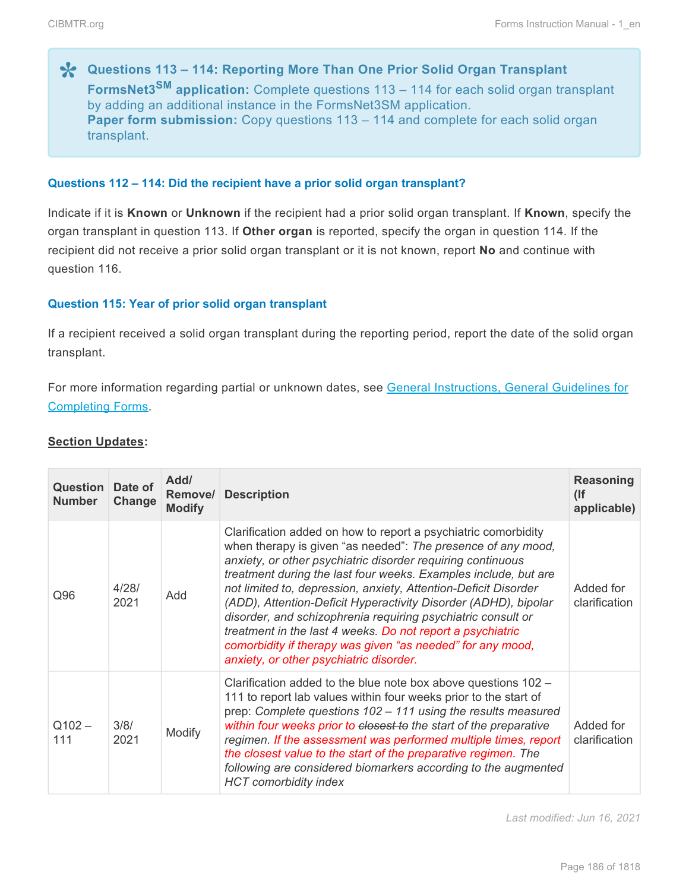**Cuestions 113 – 114: Reporting More Than One Prior Solid Organ Transplant<br>
<b>FormsNet3<sup>SM</sup>** application: Complete questions 113 – 114 for each solid organ tra **FormsNet3SM application:** Complete questions 113 – 114 for each solid organ transplant by adding an additional instance in the FormsNet3SM application. **Paper form submission:** Copy questions 113 – 114 and complete for each solid organ transplant.

#### **Questions 112 – 114: Did the recipient have a prior solid organ transplant?**

Indicate if it is **Known** or **Unknown** if the recipient had a prior solid organ transplant. If **Known**, specify the organ transplant in question 113. If **Other organ** is reported, specify the organ in question 114. If the recipient did not receive a prior solid organ transplant or it is not known, report **No** and continue with question 116.

#### **Question 115: Year of prior solid organ transplant**

If a recipient received a solid organ transplant during the reporting period, report the date of the solid organ transplant.

For more information regarding partial or unknown dates, see General Instructions, General Guidelines for Completing Forms.

#### **Section Updates:**

| <b>Question Date of</b><br><b>Number</b> | Change        | Add/<br>Remove/<br><b>Modify</b> | <b>Description</b>                                                                                                                                                                                                                                                                                                                                                                                                                                                                                                                                                                                                                            | <b>Reasoning</b><br>(<br>applicable) |
|------------------------------------------|---------------|----------------------------------|-----------------------------------------------------------------------------------------------------------------------------------------------------------------------------------------------------------------------------------------------------------------------------------------------------------------------------------------------------------------------------------------------------------------------------------------------------------------------------------------------------------------------------------------------------------------------------------------------------------------------------------------------|--------------------------------------|
| Q96                                      | 4/28/<br>2021 | Add                              | Clarification added on how to report a psychiatric comorbidity<br>when therapy is given "as needed": The presence of any mood,<br>anxiety, or other psychiatric disorder requiring continuous<br>treatment during the last four weeks. Examples include, but are<br>not limited to, depression, anxiety, Attention-Deficit Disorder<br>(ADD), Attention-Deficit Hyperactivity Disorder (ADHD), bipolar<br>disorder, and schizophrenia requiring psychiatric consult or<br>treatment in the last 4 weeks. Do not report a psychiatric<br>comorbidity if therapy was given "as needed" for any mood,<br>anxiety, or other psychiatric disorder. | Added for<br>clarification           |
| $Q102 -$<br>111                          | 3/8/<br>2021  | Modify                           | Clarification added to the blue note box above questions 102 -<br>111 to report lab values within four weeks prior to the start of<br>prep: Complete questions 102 - 111 using the results measured<br>within four weeks prior to closest to the start of the preparative<br>regimen. If the assessment was performed multiple times, report<br>the closest value to the start of the preparative regimen. The<br>following are considered biomarkers according to the augmented<br><b>HCT</b> comorbidity index                                                                                                                              | Added for<br>clarification           |

*Last modified: Jun 16, 2021*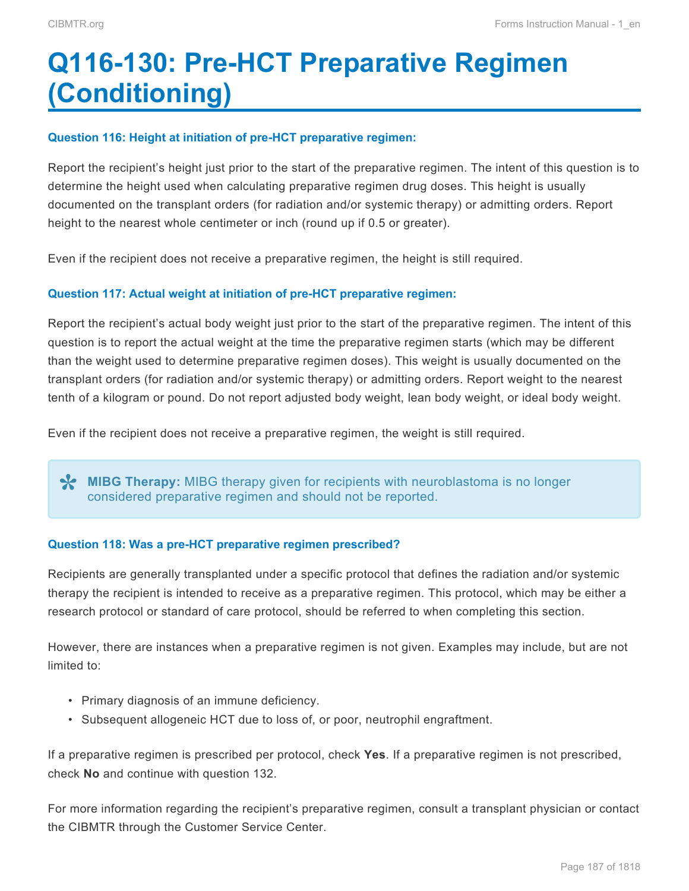# <span id="page-38-0"></span>**Q116-130: Pre-HCT Preparative Regimen (Conditioning)**

#### **Question 116: Height at initiation of pre-HCT preparative regimen:**

Report the recipient's height just prior to the start of the preparative regimen. The intent of this question is to determine the height used when calculating preparative regimen drug doses. This height is usually documented on the transplant orders (for radiation and/or systemic therapy) or admitting orders. Report height to the nearest whole centimeter or inch (round up if 0.5 or greater).

Even if the recipient does not receive a preparative regimen, the height is still required.

#### **Question 117: Actual weight at initiation of pre-HCT preparative regimen:**

Report the recipient's actual body weight just prior to the start of the preparative regimen. The intent of this question is to report the actual weight at the time the preparative regimen starts (which may be different than the weight used to determine preparative regimen doses). This weight is usually documented on the transplant orders (for radiation and/or systemic therapy) or admitting orders. Report weight to the nearest tenth of a kilogram or pound. Do not report adjusted body weight, lean body weight, or ideal body weight.

Even if the recipient does not receive a preparative regimen, the weight is still required.

**MIBG Therapy:** MIBG therapy given for recipients with neuroblastoma is no longer considered preparative regimen and should not be reported.

#### **Question 118: Was a pre-HCT preparative regimen prescribed?**

Recipients are generally transplanted under a specific protocol that defines the radiation and/or systemic therapy the recipient is intended to receive as a preparative regimen. This protocol, which may be either a research protocol or standard of care protocol, should be referred to when completing this section.

However, there are instances when a preparative regimen is not given. Examples may include, but are not limited to:

- Primary diagnosis of an immune deficiency.
- Subsequent allogeneic HCT due to loss of, or poor, neutrophil engraftment.

If a preparative regimen is prescribed per protocol, check **Yes**. If a preparative regimen is not prescribed, check **No** and continue with question 132.

For more information regarding the recipient's preparative regimen, consult a transplant physician or contact the CIBMTR through the Customer Service Center.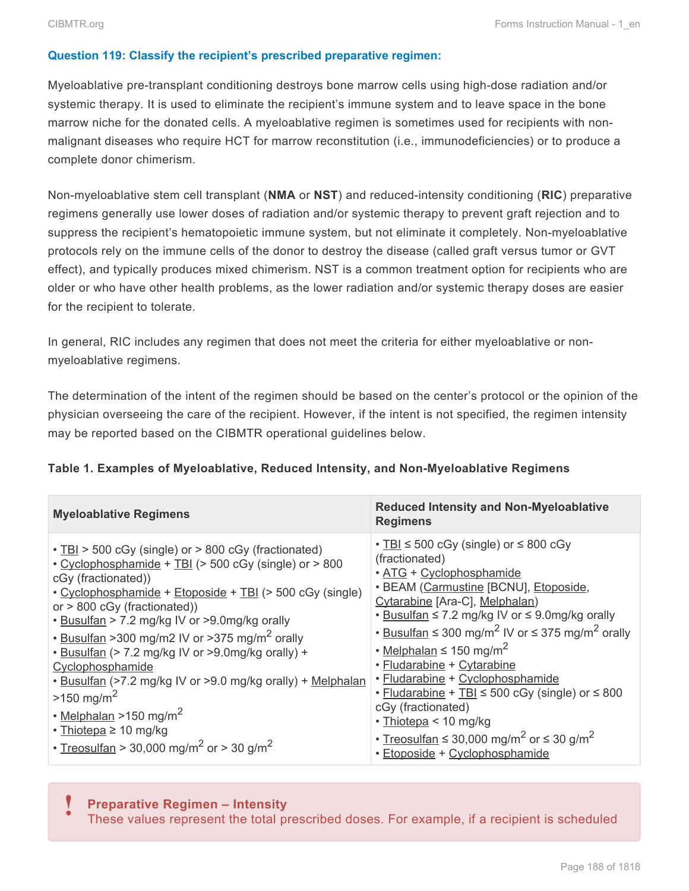#### **Question 119: Classify the recipient's prescribed preparative regimen:**

Myeloablative pre-transplant conditioning destroys bone marrow cells using high-dose radiation and/or systemic therapy. It is used to eliminate the recipient's immune system and to leave space in the bone marrow niche for the donated cells. A myeloablative regimen is sometimes used for recipients with nonmalignant diseases who require HCT for marrow reconstitution (i.e., immunodeficiencies) or to produce a complete donor chimerism.

Non-myeloablative stem cell transplant (**NMA** or **NST**) and reduced-intensity conditioning (**RIC**) preparative regimens generally use lower doses of radiation and/or systemic therapy to prevent graft rejection and to suppress the recipient's hematopoietic immune system, but not eliminate it completely. Non-myeloablative protocols rely on the immune cells of the donor to destroy the disease (called graft versus tumor or GVT effect), and typically produces mixed chimerism. NST is a common treatment option for recipients who are older or who have other health problems, as the lower radiation and/or systemic therapy doses are easier for the recipient to tolerate.

In general, RIC includes any regimen that does not meet the criteria for either myeloablative or nonmyeloablative regimens.

The determination of the intent of the regimen should be based on the center's protocol or the opinion of the physician overseeing the care of the recipient. However, if the intent is not specified, the regimen intensity may be reported based on the CIBMTR operational guidelines below.

| Table 1. Examples of Myeloablative, Reduced Intensity, and Non-Myeloablative Regimens |
|---------------------------------------------------------------------------------------|
|---------------------------------------------------------------------------------------|

| <b>Myeloablative Regimens</b>                                                                                                                                                                                                                                                                                                                                                                                                                                                                                                                                                                                                                              | <b>Reduced Intensity and Non-Myeloablative</b><br><b>Regimens</b>                                                                                                                                                                                                                                                                                                                                                                                                                                                                                                                                                                                               |
|------------------------------------------------------------------------------------------------------------------------------------------------------------------------------------------------------------------------------------------------------------------------------------------------------------------------------------------------------------------------------------------------------------------------------------------------------------------------------------------------------------------------------------------------------------------------------------------------------------------------------------------------------------|-----------------------------------------------------------------------------------------------------------------------------------------------------------------------------------------------------------------------------------------------------------------------------------------------------------------------------------------------------------------------------------------------------------------------------------------------------------------------------------------------------------------------------------------------------------------------------------------------------------------------------------------------------------------|
| • TBI > 500 cGy (single) or > 800 cGy (fractionated)<br>• Cyclophosphamide + TBI (> 500 cGy (single) or > 800<br>cGy (fractionated))<br>• Cyclophosphamide + Etoposide + TBI (> 500 cGy (single)<br>or $> 800$ cGy (fractionated))<br>. Busulfan > 7.2 mg/kg IV or >9.0mg/kg orally<br>• Busulfan >300 mg/m2 IV or >375 mg/m <sup>2</sup> orally<br>• Busulfan (> 7.2 mg/kg IV or >9.0mg/kg orally) +<br>Cyclophosphamide<br>. Busulfan (>7.2 mg/kg IV or >9.0 mg/kg orally) + Melphalan<br>$>150 \text{ mg/m}^2$<br>$\cdot$ Melphalan >150 mg/m <sup>2</sup><br>• Thiotepa ≥ 10 mg/kg<br>• Treosulfan > 30,000 mg/m <sup>2</sup> or > 30 g/m <sup>2</sup> | $\cdot$ TBI $\leq$ 500 cGy (single) or $\leq$ 800 cGy<br>(fractionated)<br>· ATG + Cyclophosphamide<br>• BEAM (Carmustine [BCNU], Etoposide,<br>Cytarabine [Ara-C], Melphalan)<br>• Busulfan ≤ 7.2 mg/kg IV or ≤ 9.0mg/kg orally<br>• Busulfan $\leq$ 300 mg/m <sup>2</sup> IV or $\leq$ 375 mg/m <sup>2</sup> orally<br>• Melphalan $\leq 150$ mg/m <sup>2</sup><br>· Fludarabine + Cytarabine<br>• Fludarabine + Cyclophosphamide<br>• Fludarabine + TBI $\leq$ 500 cGy (single) or $\leq$ 800<br>cGy (fractionated)<br>· Thiotepa < 10 mg/kg<br>• Treosulfan $\leq$ 30,000 mg/m <sup>2</sup> or $\leq$ 30 g/m <sup>2</sup><br>· Etoposide + Cyclophosphamide |

## **Preparative Regimen – Intensity**

These values represent the total prescribed doses. For example, if a recipient is scheduled **!**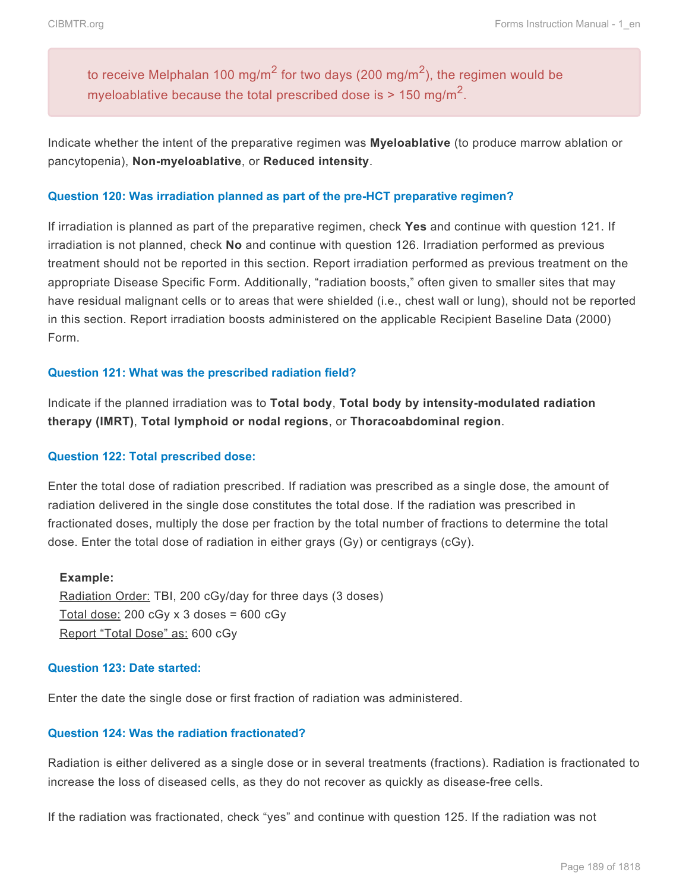to receive Melphalan 100 mg/m $^2$  for two days (200 mg/m $^2$ ), the regimen would be myeloablative because the total prescribed dose is > 150 mg/m<sup>2</sup>.

Indicate whether the intent of the preparative regimen was **Myeloablative** (to produce marrow ablation or pancytopenia), **Non-myeloablative**, or **Reduced intensity**.

#### **Question 120: Was irradiation planned as part of the pre-HCT preparative regimen?**

If irradiation is planned as part of the preparative regimen, check **Yes** and continue with question 121. If irradiation is not planned, check **No** and continue with question 126. Irradiation performed as previous treatment should not be reported in this section. Report irradiation performed as previous treatment on the appropriate Disease Specific Form. Additionally, "radiation boosts," often given to smaller sites that may have residual malignant cells or to areas that were shielded (i.e., chest wall or lung), should not be reported in this section. Report irradiation boosts administered on the applicable Recipient Baseline Data (2000) Form.

#### **Question 121: What was the prescribed radiation field?**

Indicate if the planned irradiation was to **Total body**, **Total body by intensity-modulated radiation therapy (IMRT)**, **Total lymphoid or nodal regions**, or **Thoracoabdominal region**.

#### **Question 122: Total prescribed dose:**

Enter the total dose of radiation prescribed. If radiation was prescribed as a single dose, the amount of radiation delivered in the single dose constitutes the total dose. If the radiation was prescribed in fractionated doses, multiply the dose per fraction by the total number of fractions to determine the total dose. Enter the total dose of radiation in either grays (Gy) or centigrays (cGy).

#### **Example:**

Radiation Order: TBI, 200 cGy/day for three days (3 doses) Total dose:  $200$  cGy x 3 doses =  $600$  cGy Report "Total Dose" as: 600 cGy

#### **Question 123: Date started:**

Enter the date the single dose or first fraction of radiation was administered.

#### **Question 124: Was the radiation fractionated?**

Radiation is either delivered as a single dose or in several treatments (fractions). Radiation is fractionated to increase the loss of diseased cells, as they do not recover as quickly as disease-free cells.

If the radiation was fractionated, check "yes" and continue with question 125. If the radiation was not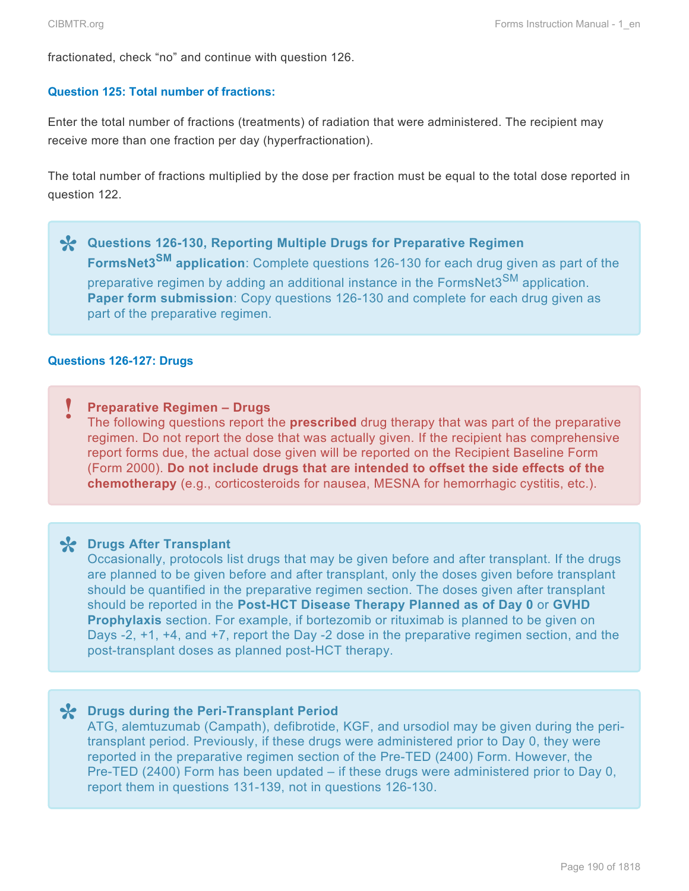fractionated, check "no" and continue with question 126.

#### **Question 125: Total number of fractions:**

Enter the total number of fractions (treatments) of radiation that were administered. The recipient may receive more than one fraction per day (hyperfractionation).

The total number of fractions multiplied by the dose per fraction must be equal to the total dose reported in question 122.

**\*** Questions 126-130, Reporting Multiple Drugs for Preparative Regimen<br>FormsNet3<sup>SM</sup> application: Complete questions 126-130 for each drug giv **FormsNet3SM application**: Complete questions 126-130 for each drug given as part of the preparative regimen by adding an additional instance in the FormsNet3<sup>SM</sup> application. **Paper form submission**: Copy questions 126-130 and complete for each drug given as part of the preparative regimen.

#### **Questions 126-127: Drugs**

### **Preparative Regimen – Drugs !**

The following questions report the **prescribed** drug therapy that was part of the preparative regimen. Do not report the dose that was actually given. If the recipient has comprehensive report forms due, the actual dose given will be reported on the Recipient Baseline Form (Form 2000). **Do not include drugs that are intended to offset the side effects of the chemotherapy** (e.g., corticosteroids for nausea, MESNA for hemorrhagic cystitis, etc.).

**Drugs After Transplant \*** Occasionally, protocols list drugs that may be given before and after transplant. If the drugs are planned to be given before and after transplant, only the doses given before transplant should be quantified in the preparative regimen section. The doses given after transplant should be reported in the **Post-HCT Disease Therapy Planned as of Day 0** or **GVHD Prophylaxis** section. For example, if bortezomib or rituximab is planned to be given on Days -2, +1, +4, and +7, report the Day -2 dose in the preparative regimen section, and the post-transplant doses as planned post-HCT therapy.

**Drugs during the Peri-Transplant Period \*** ATG, alemtuzumab (Campath), defibrotide, KGF, and ursodiol may be given during the peritransplant period. Previously, if these drugs were administered prior to Day 0, they were reported in the preparative regimen section of the Pre-TED (2400) Form. However, the Pre-TED (2400) Form has been updated – if these drugs were administered prior to Day 0, report them in questions 131-139, not in questions 126-130.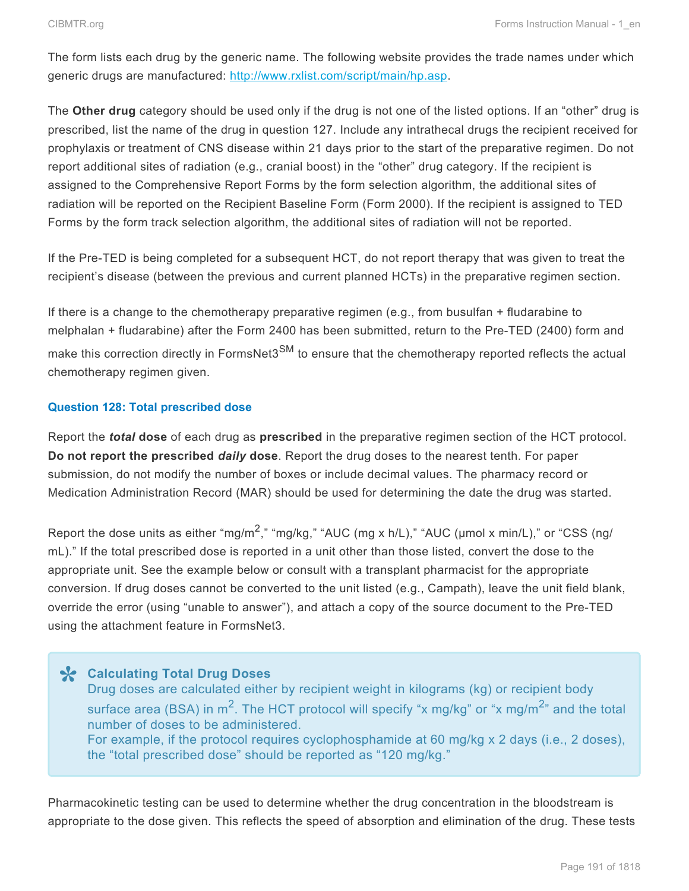The form lists each drug by the generic name. The following website provides the trade names under which generic drugs are manufactured: [http://www.rxlist.com/script/main/hp.asp.](http://www.rxlist.com/script/main/hp.asp)

The **Other drug** category should be used only if the drug is not one of the listed options. If an "other" drug is prescribed, list the name of the drug in question 127. Include any intrathecal drugs the recipient received for prophylaxis or treatment of CNS disease within 21 days prior to the start of the preparative regimen. Do not report additional sites of radiation (e.g., cranial boost) in the "other" drug category. If the recipient is assigned to the Comprehensive Report Forms by the form selection algorithm, the additional sites of radiation will be reported on the Recipient Baseline Form (Form 2000). If the recipient is assigned to TED Forms by the form track selection algorithm, the additional sites of radiation will not be reported.

If the Pre-TED is being completed for a subsequent HCT, do not report therapy that was given to treat the recipient's disease (between the previous and current planned HCTs) in the preparative regimen section.

If there is a change to the chemotherapy preparative regimen (e.g., from busulfan + fludarabine to melphalan + fludarabine) after the Form 2400 has been submitted, return to the Pre-TED (2400) form and make this correction directly in FormsNet3<sup>SM</sup> to ensure that the chemotherapy reported reflects the actual chemotherapy regimen given.

### **Question 128: Total prescribed dose**

Report the *total* **dose** of each drug as **prescribed** in the preparative regimen section of the HCT protocol. **Do not report the prescribed** *daily* **dose**. Report the drug doses to the nearest tenth. For paper submission, do not modify the number of boxes or include decimal values. The pharmacy record or Medication Administration Record (MAR) should be used for determining the date the drug was started.

Report the dose units as either "mg/m<sup>2</sup>," "mg/kg," "AUC (mg x h/L)," "AUC (µmol x min/L)," or "CSS (ng/ mL)." If the total prescribed dose is reported in a unit other than those listed, convert the dose to the appropriate unit. See the example below or consult with a transplant pharmacist for the appropriate conversion. If drug doses cannot be converted to the unit listed (e.g., Campath), leave the unit field blank, override the error (using "unable to answer"), and attach a copy of the source document to the Pre-TED using the attachment feature in FormsNet3.

**X** Calculating Total Drug Doses<br>
Drug doses are calculated either Drug doses are calculated either by recipient weight in kilograms (kg) or recipient body surface area (BSA) in m<sup>2</sup>. The HCT protocol will specify "x mg/kg" or "x mg/m<sup>2</sup>" and the total number of doses to be administered. For example, if the protocol requires cyclophosphamide at 60 mg/kg x 2 days (i.e., 2 doses), the "total prescribed dose" should be reported as "120 mg/kg."

Pharmacokinetic testing can be used to determine whether the drug concentration in the bloodstream is appropriate to the dose given. This reflects the speed of absorption and elimination of the drug. These tests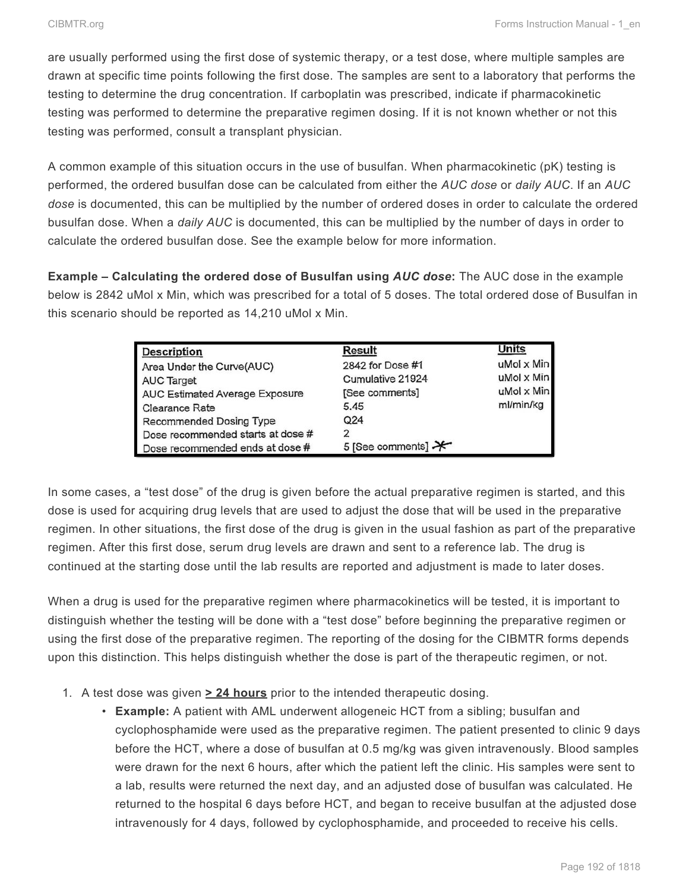are usually performed using the first dose of systemic therapy, or a test dose, where multiple samples are drawn at specific time points following the first dose. The samples are sent to a laboratory that performs the testing to determine the drug concentration. If carboplatin was prescribed, indicate if pharmacokinetic testing was performed to determine the preparative regimen dosing. If it is not known whether or not this testing was performed, consult a transplant physician.

A common example of this situation occurs in the use of busulfan. When pharmacokinetic (pK) testing is performed, the ordered busulfan dose can be calculated from either the *AUC dose* or *daily AUC*. If an *AUC dose* is documented, this can be multiplied by the number of ordered doses in order to calculate the ordered busulfan dose. When a *daily AUC* is documented, this can be multiplied by the number of days in order to calculate the ordered busulfan dose. See the example below for more information.

**Example – Calculating the ordered dose of Busulfan using** *AUC dose***:** The AUC dose in the example below is 2842 uMol x Min, which was prescribed for a total of 5 doses. The total ordered dose of Busulfan in this scenario should be reported as 14,210 uMol x Min.

| Description                           | Result                         | Units                |
|---------------------------------------|--------------------------------|----------------------|
|                                       |                                |                      |
| Area Under the Curve(AUC)             | 2842 for Dose #1               | $u$ Mol $\times$ Min |
| <b>AUC Target</b>                     | Cumulative 21924               | uMol x Min           |
| <b>AUC Estimated Average Exposure</b> | [See comments]                 | $u$ Mol $\times$ Min |
| Clearance Rate                        | 5.45                           | ml/min/kg            |
| Recommended Dosing Type               | Q <sub>24</sub>                |                      |
| Dose recommended starts at dose #     | 2                              |                      |
| Dose recommended ends at dose #       | 5 [See comments] $\rightarrow$ |                      |

In some cases, a "test dose" of the drug is given before the actual preparative regimen is started, and this dose is used for acquiring drug levels that are used to adjust the dose that will be used in the preparative regimen. In other situations, the first dose of the drug is given in the usual fashion as part of the preparative regimen. After this first dose, serum drug levels are drawn and sent to a reference lab. The drug is continued at the starting dose until the lab results are reported and adjustment is made to later doses.

When a drug is used for the preparative regimen where pharmacokinetics will be tested, it is important to distinguish whether the testing will be done with a "test dose" before beginning the preparative regimen or using the first dose of the preparative regimen. The reporting of the dosing for the CIBMTR forms depends upon this distinction. This helps distinguish whether the dose is part of the therapeutic regimen, or not.

- 1. A test dose was given **> 24 hours** prior to the intended therapeutic dosing.
	- **Example:** A patient with AML underwent allogeneic HCT from a sibling; busulfan and cyclophosphamide were used as the preparative regimen. The patient presented to clinic 9 days before the HCT, where a dose of busulfan at 0.5 mg/kg was given intravenously. Blood samples were drawn for the next 6 hours, after which the patient left the clinic. His samples were sent to a lab, results were returned the next day, and an adjusted dose of busulfan was calculated. He returned to the hospital 6 days before HCT, and began to receive busulfan at the adjusted dose intravenously for 4 days, followed by cyclophosphamide, and proceeded to receive his cells.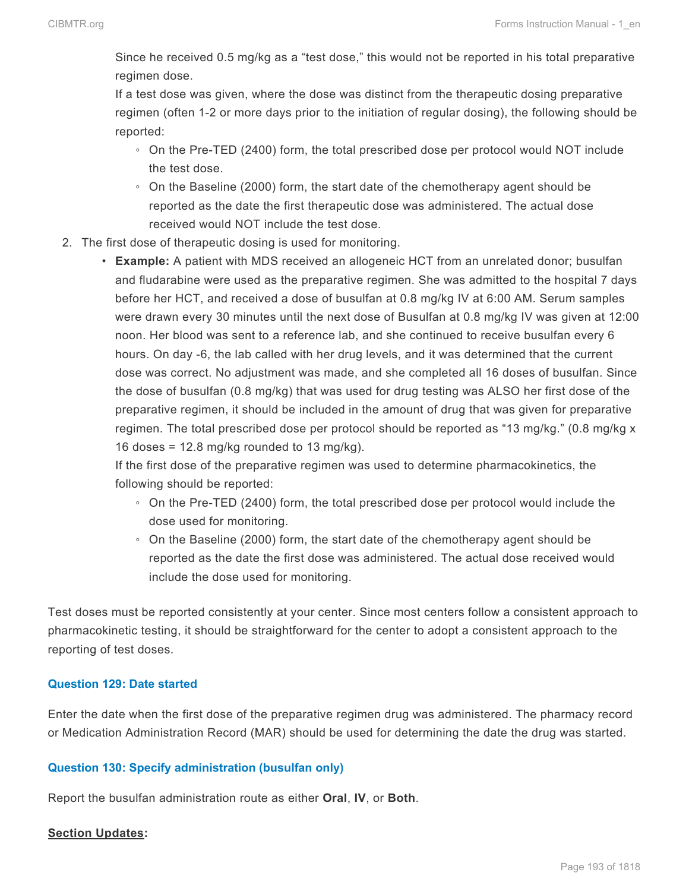Since he received 0.5 mg/kg as a "test dose," this would not be reported in his total preparative regimen dose.

If a test dose was given, where the dose was distinct from the therapeutic dosing preparative regimen (often 1-2 or more days prior to the initiation of regular dosing), the following should be reported:

- On the Pre-TED (2400) form, the total prescribed dose per protocol would NOT include the test dose.
- On the Baseline (2000) form, the start date of the chemotherapy agent should be reported as the date the first therapeutic dose was administered. The actual dose received would NOT include the test dose.
- 2. The first dose of therapeutic dosing is used for monitoring.
	- **Example:** A patient with MDS received an allogeneic HCT from an unrelated donor; busulfan and fludarabine were used as the preparative regimen. She was admitted to the hospital 7 days before her HCT, and received a dose of busulfan at 0.8 mg/kg IV at 6:00 AM. Serum samples were drawn every 30 minutes until the next dose of Busulfan at 0.8 mg/kg IV was given at 12:00 noon. Her blood was sent to a reference lab, and she continued to receive busulfan every 6 hours. On day -6, the lab called with her drug levels, and it was determined that the current dose was correct. No adjustment was made, and she completed all 16 doses of busulfan. Since the dose of busulfan (0.8 mg/kg) that was used for drug testing was ALSO her first dose of the preparative regimen, it should be included in the amount of drug that was given for preparative regimen. The total prescribed dose per protocol should be reported as "13 mg/kg." (0.8 mg/kg x 16 doses =  $12.8 \text{ mg/kg}$  rounded to 13 mg/kg).

If the first dose of the preparative regimen was used to determine pharmacokinetics, the following should be reported:

- On the Pre-TED (2400) form, the total prescribed dose per protocol would include the dose used for monitoring.
- On the Baseline (2000) form, the start date of the chemotherapy agent should be reported as the date the first dose was administered. The actual dose received would include the dose used for monitoring.

Test doses must be reported consistently at your center. Since most centers follow a consistent approach to pharmacokinetic testing, it should be straightforward for the center to adopt a consistent approach to the reporting of test doses.

#### **Question 129: Date started**

Enter the date when the first dose of the preparative regimen drug was administered. The pharmacy record or Medication Administration Record (MAR) should be used for determining the date the drug was started.

#### **Question 130: Specify administration (busulfan only)**

Report the busulfan administration route as either **Oral**, **IV**, or **Both**.

#### **Section Updates:**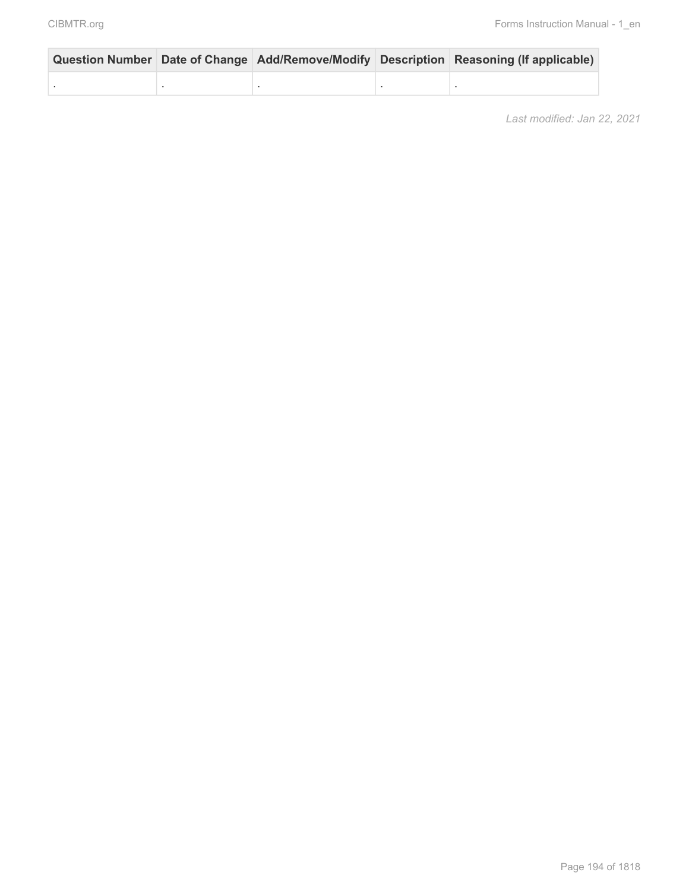|  |  | Question Number Date of Change Add/Remove/Modify Description Reasoning (If applicable) |
|--|--|----------------------------------------------------------------------------------------|
|  |  |                                                                                        |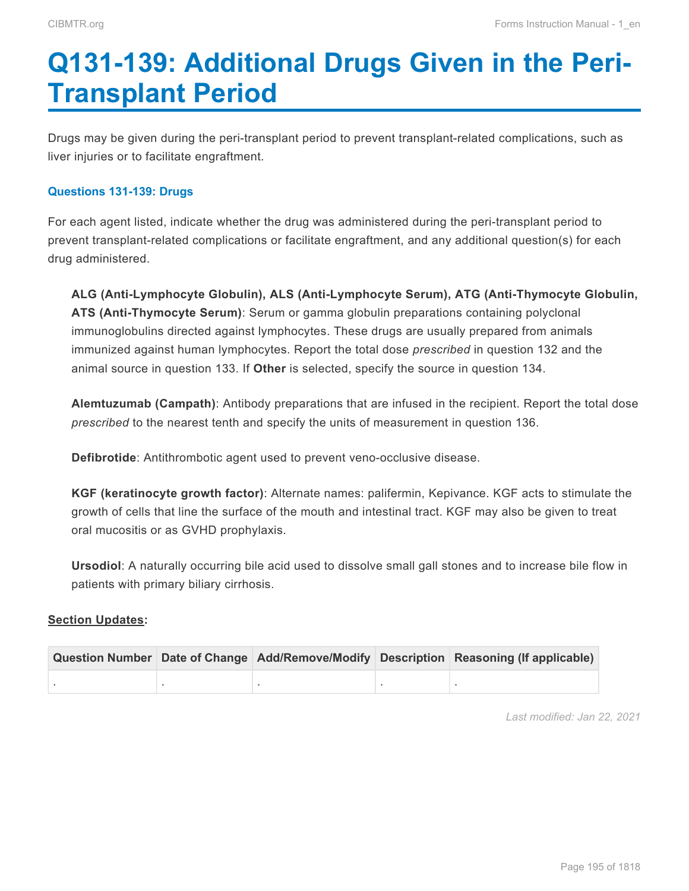# <span id="page-46-0"></span>**Q131-139: Additional Drugs Given in the Peri-Transplant Period**

Drugs may be given during the peri-transplant period to prevent transplant-related complications, such as liver injuries or to facilitate engraftment.

#### **Questions 131-139: Drugs**

For each agent listed, indicate whether the drug was administered during the peri-transplant period to prevent transplant-related complications or facilitate engraftment, and any additional question(s) for each drug administered.

**ALG (Anti-Lymphocyte Globulin), ALS (Anti-Lymphocyte Serum), ATG (Anti-Thymocyte Globulin, ATS (Anti-Thymocyte Serum)**: Serum or gamma globulin preparations containing polyclonal immunoglobulins directed against lymphocytes. These drugs are usually prepared from animals immunized against human lymphocytes. Report the total dose *prescribed* in question 132 and the animal source in question 133. If **Other** is selected, specify the source in question 134.

**Alemtuzumab (Campath)**: Antibody preparations that are infused in the recipient. Report the total dose *prescribed* to the nearest tenth and specify the units of measurement in question 136.

**Defibrotide**: Antithrombotic agent used to prevent veno-occlusive disease.

**KGF (keratinocyte growth factor)**: Alternate names: palifermin, Kepivance. KGF acts to stimulate the growth of cells that line the surface of the mouth and intestinal tract. KGF may also be given to treat oral mucositis or as GVHD prophylaxis.

**Ursodiol**: A naturally occurring bile acid used to dissolve small gall stones and to increase bile flow in patients with primary biliary cirrhosis.

#### **Section Updates:**

|  |  | Question Number Date of Change Add/Remove/Modify Description Reasoning (If applicable) |
|--|--|----------------------------------------------------------------------------------------|
|  |  |                                                                                        |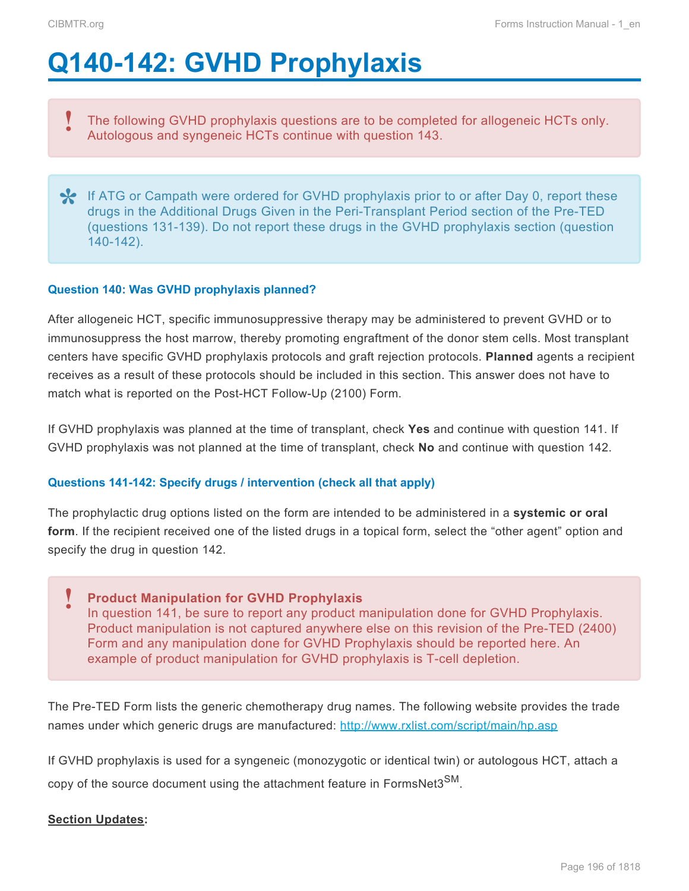# <span id="page-47-0"></span>**Q140-142: GVHD Prophylaxis**

The following GVHD prophylaxis questions are to be completed for allogeneic HCTs only. Autologous and syngeneic HCTs continue with question 143. **!**

If ATG or Campath were ordered for GVHD prophylaxis prior to or after Day 0, report these<br>drugs in the Additional Drugs Given in the Peri-Transplant Period section of the Pre-TED<br>(guardians 434,439). De not report these dr drugs in the Additional Drugs Given in the Peri-Transplant Period section of the Pre-TED (questions 131-139). Do not report these drugs in the GVHD prophylaxis section (question 140-142).

### **Question 140: Was GVHD prophylaxis planned?**

After allogeneic HCT, specific immunosuppressive therapy may be administered to prevent GVHD or to immunosuppress the host marrow, thereby promoting engraftment of the donor stem cells. Most transplant centers have specific GVHD prophylaxis protocols and graft rejection protocols. **Planned** agents a recipient receives as a result of these protocols should be included in this section. This answer does not have to match what is reported on the Post-HCT Follow-Up (2100) Form.

If GVHD prophylaxis was planned at the time of transplant, check **Yes** and continue with question 141. If GVHD prophylaxis was not planned at the time of transplant, check **No** and continue with question 142.

### **Questions 141-142: Specify drugs / intervention (check all that apply)**

The prophylactic drug options listed on the form are intended to be administered in a **systemic or oral form**. If the recipient received one of the listed drugs in a topical form, select the "other agent" option and specify the drug in question 142.

**Product Manipulation for GVHD Prophylaxis** In question 141, be sure to report any product manipulation done for GVHD Prophylaxis. Product manipulation is not captured anywhere else on this revision of the Pre-TED (2400) Form and any manipulation done for GVHD Prophylaxis should be reported here. An example of product manipulation for GVHD prophylaxis is T-cell depletion. **!**

The Pre-TED Form lists the generic chemotherapy drug names. The following website provides the trade names under which generic drugs are manufactured: <http://www.rxlist.com/script/main/hp.asp>

If GVHD prophylaxis is used for a syngeneic (monozygotic or identical twin) or autologous HCT, attach a copy of the source document using the attachment feature in FormsNet3<sup>SM</sup>.

#### **Section Updates:**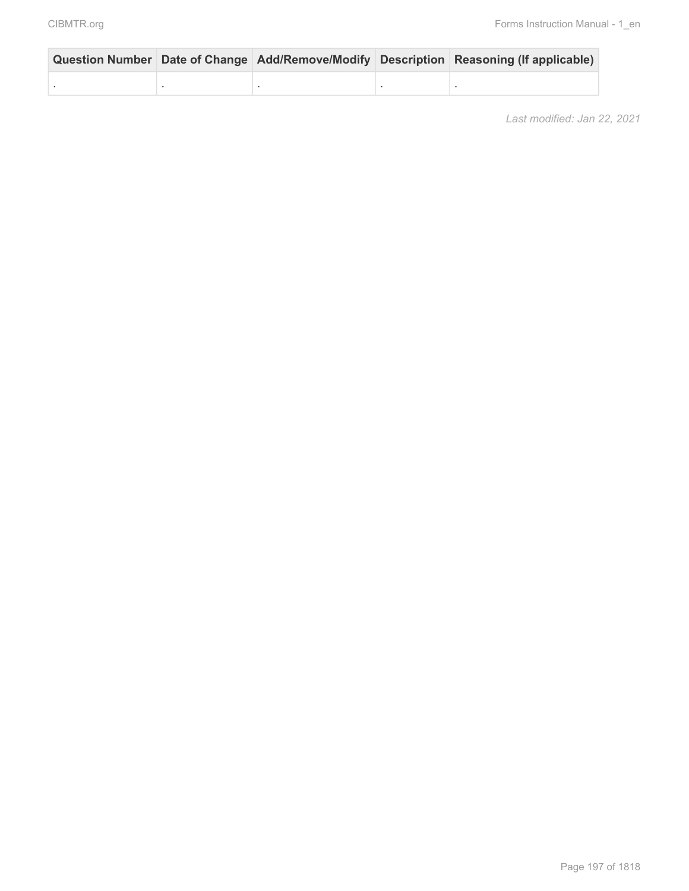|  |  | Question Number Date of Change Add/Remove/Modify Description Reasoning (If applicable) |
|--|--|----------------------------------------------------------------------------------------|
|  |  |                                                                                        |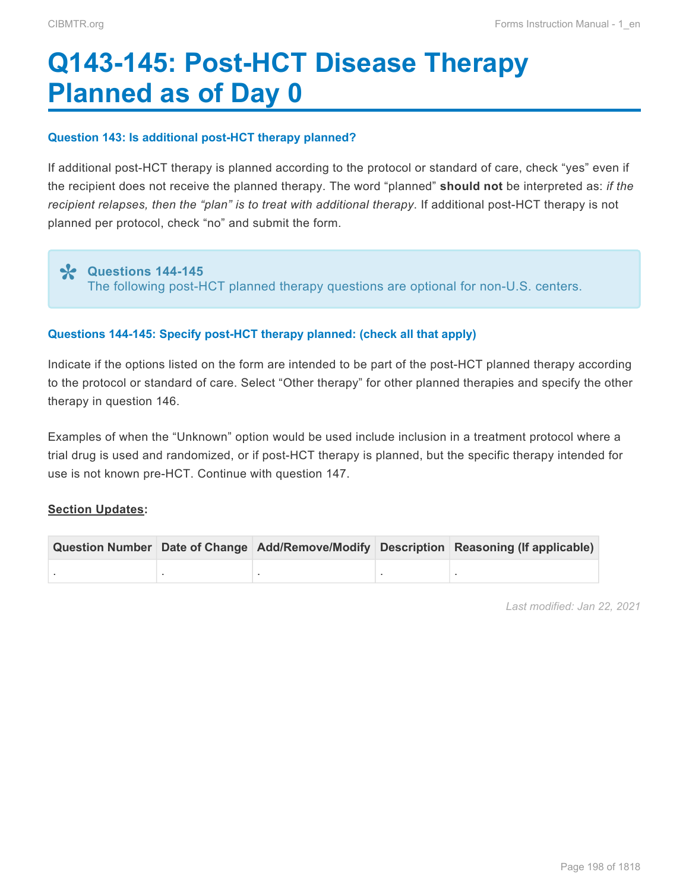# <span id="page-49-0"></span>**Q143-145: Post-HCT Disease Therapy Planned as of Day 0**

#### **Question 143: Is additional post-HCT therapy planned?**

If additional post-HCT therapy is planned according to the protocol or standard of care, check "yes" even if the recipient does not receive the planned therapy. The word "planned" **should not** be interpreted as: *if the recipient relapses, then the "plan" is to treat with additional therapy*. If additional post-HCT therapy is not planned per protocol, check "no" and submit the form.

### **Questions 144-145 \***

The following post-HCT planned therapy questions are optional for non-U.S. centers.

#### **Questions 144-145: Specify post-HCT therapy planned: (check all that apply)**

Indicate if the options listed on the form are intended to be part of the post-HCT planned therapy according to the protocol or standard of care. Select "Other therapy" for other planned therapies and specify the other therapy in question 146.

Examples of when the "Unknown" option would be used include inclusion in a treatment protocol where a trial drug is used and randomized, or if post-HCT therapy is planned, but the specific therapy intended for use is not known pre-HCT. Continue with question 147.

#### **Section Updates:**

|  |  | Question Number Date of Change Add/Remove/Modify Description Reasoning (If applicable) |
|--|--|----------------------------------------------------------------------------------------|
|  |  |                                                                                        |